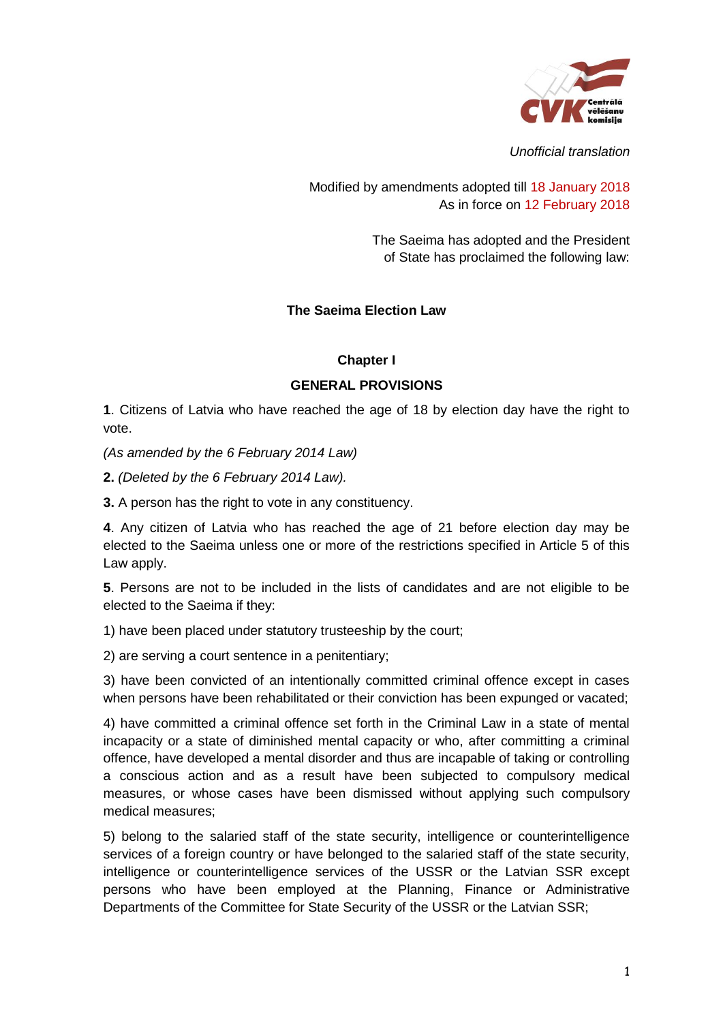

*Unofficial translation*

Modified by amendments adopted till 18 January 2018 As in force on 12 February 2018

> The Saeima has adopted and the President of State has proclaimed the following law:

### **The Saeima Election Law**

#### **Chapter I**

#### **GENERAL PROVISIONS**

**1**. Citizens of Latvia who have reached the age of 18 by election day have the right to vote.

*(As amended by the 6 February 2014 Law)*

**2.** *(Deleted by the 6 February 2014 Law).*

**3.** A person has the right to vote in any constituency.

**4**. Any citizen of Latvia who has reached the age of 21 before election day may be elected to the Saeima unless one or more of the restrictions specified in Article 5 of this Law apply.

**5**. Persons are not to be included in the lists of candidates and are not eligible to be elected to the Saeima if they:

1) have been placed under statutory trusteeship by the court;

2) are serving a court sentence in a penitentiary;

3) have been convicted of an intentionally committed criminal offence except in cases when persons have been rehabilitated or their conviction has been expunged or vacated;

4) have committed a criminal offence set forth in the Criminal Law in a state of mental incapacity or a state of diminished mental capacity or who, after committing a criminal offence, have developed a mental disorder and thus are incapable of taking or controlling a conscious action and as a result have been subjected to compulsory medical measures, or whose cases have been dismissed without applying such compulsory medical measures;

5) belong to the salaried staff of the state security, intelligence or counterintelligence services of a foreign country or have belonged to the salaried staff of the state security, intelligence or counterintelligence services of the USSR or the Latvian SSR except persons who have been employed at the Planning, Finance or Administrative Departments of the Committee for State Security of the USSR or the Latvian SSR;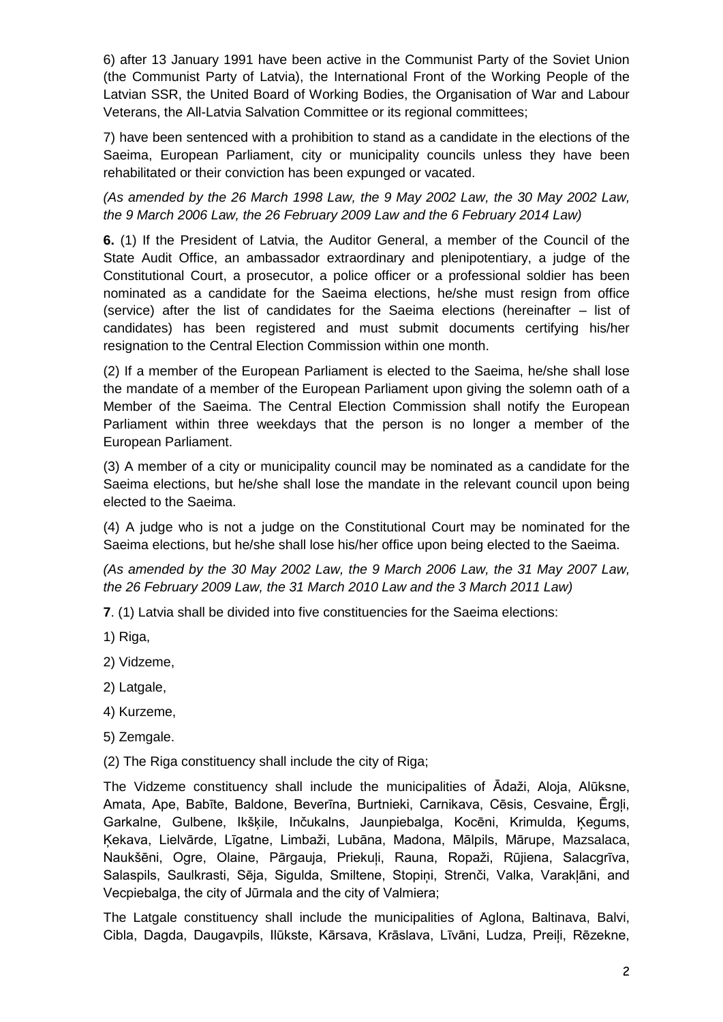6) after 13 January 1991 have been active in the Communist Party of the Soviet Union (the Communist Party of Latvia), the International Front of the Working People of the Latvian SSR, the United Board of Working Bodies, the Organisation of War and Labour Veterans, the All-Latvia Salvation Committee or its regional committees;

7) have been sentenced with a prohibition to stand as a candidate in the elections of the Saeima, European Parliament, city or municipality councils unless they have been rehabilitated or their conviction has been expunged or vacated.

*(As amended by the 26 March 1998 Law, the 9 May 2002 Law, the 30 May 2002 Law, the 9 March 2006 Law, the 26 February 2009 Law and the 6 February 2014 Law)*

**6.** (1) If the President of Latvia, the Auditor General, a member of the Council of the State Audit Office, an ambassador extraordinary and plenipotentiary, a judge of the Constitutional Court, a prosecutor, a police officer or a professional soldier has been nominated as a candidate for the Saeima elections, he/she must resign from office (service) after the list of candidates for the Saeima elections (hereinafter – list of candidates) has been registered and must submit documents certifying his/her resignation to the Central Election Commission within one month.

(2) If a member of the European Parliament is elected to the Saeima, he/she shall lose the mandate of a member of the European Parliament upon giving the solemn oath of a Member of the Saeima. The Central Election Commission shall notify the European Parliament within three weekdays that the person is no longer a member of the European Parliament.

(3) A member of a city or municipality council may be nominated as a candidate for the Saeima elections, but he/she shall lose the mandate in the relevant council upon being elected to the Saeima.

(4) A judge who is not a judge on the Constitutional Court may be nominated for the Saeima elections, but he/she shall lose his/her office upon being elected to the Saeima.

*(As amended by the 30 May 2002 Law, the 9 March 2006 Law, the 31 May 2007 Law, the 26 February 2009 Law, the 31 March 2010 Law and the 3 March 2011 Law)*

**7**. (1) Latvia shall be divided into five constituencies for the Saeima elections:

1) Riga,

2) Vidzeme,

2) Latgale,

4) Kurzeme,

5) Zemgale.

(2) The Riga constituency shall include the city of Riga;

The Vidzeme constituency shall include the municipalities of Ādaži, Aloja, Alūksne, Amata, Ape, Babīte, Baldone, Beverīna, Burtnieki, Carnikava, Cēsis, Cesvaine, Ērgļi, Garkalne, Gulbene, Ikšķile, Inčukalns, Jaunpiebalga, Kocēni, Krimulda, Ķegums, Ķekava, Lielvārde, Līgatne, Limbaži, Lubāna, Madona, Mālpils, Mārupe, Mazsalaca, Naukšēni, Ogre, Olaine, Pārgauja, Priekuļi, Rauna, Ropaži, Rūjiena, Salacgrīva, Salaspils, Saulkrasti, Sēja, Sigulda, Smiltene, Stopiņi, Strenči, Valka, Varakļāni, and Vecpiebalga, the city of Jūrmala and the city of Valmiera;

The Latgale constituency shall include the municipalities of Aglona, Baltinava, Balvi, Cibla, Dagda, Daugavpils, Ilūkste, Kārsava, Krāslava, Līvāni, Ludza, Preiļi, Rēzekne,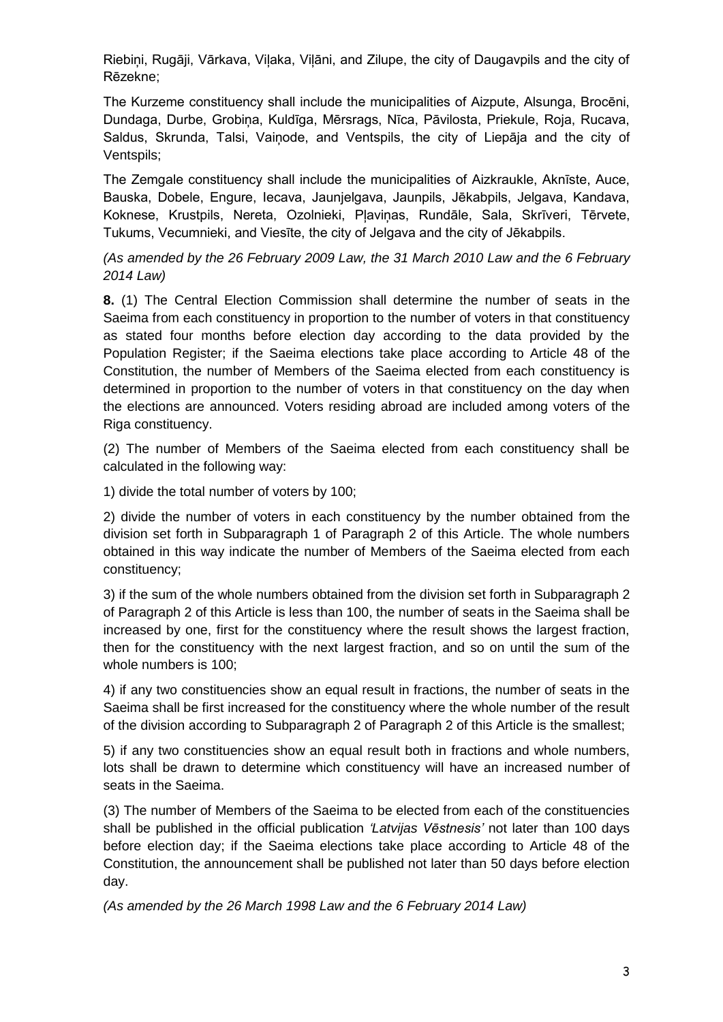Riebiņi, Rugāji, Vārkava, Viļaka, Viļāni, and Zilupe, the city of Daugavpils and the city of Rēzekne;

The Kurzeme constituency shall include the municipalities of Aizpute, Alsunga, Brocēni, Dundaga, Durbe, Grobiņa, Kuldīga, Mērsrags, Nīca, Pāvilosta, Priekule, Roja, Rucava, Saldus, Skrunda, Talsi, Vaiņode, and Ventspils, the city of Liepāja and the city of Ventspils;

The Zemgale constituency shall include the municipalities of Aizkraukle, Aknīste, Auce, Bauska, Dobele, Engure, Iecava, Jaunjelgava, Jaunpils, Jēkabpils, Jelgava, Kandava, Koknese, Krustpils, Nereta, Ozolnieki, Pļaviņas, Rundāle, Sala, Skrīveri, Tērvete, Tukums, Vecumnieki, and Viesīte, the city of Jelgava and the city of Jēkabpils.

*(As amended by the 26 February 2009 Law, the 31 March 2010 Law and the 6 February 2014 Law)*

**8.** (1) The Central Election Commission shall determine the number of seats in the Saeima from each constituency in proportion to the number of voters in that constituency as stated four months before election day according to the data provided by the Population Register; if the Saeima elections take place according to Article 48 of the Constitution, the number of Members of the Saeima elected from each constituency is determined in proportion to the number of voters in that constituency on the day when the elections are announced. Voters residing abroad are included among voters of the Riga constituency.

(2) The number of Members of the Saeima elected from each constituency shall be calculated in the following way:

1) divide the total number of voters by 100;

2) divide the number of voters in each constituency by the number obtained from the division set forth in Subparagraph 1 of Paragraph 2 of this Article. The whole numbers obtained in this way indicate the number of Members of the Saeima elected from each constituency;

3) if the sum of the whole numbers obtained from the division set forth in Subparagraph 2 of Paragraph 2 of this Article is less than 100, the number of seats in the Saeima shall be increased by one, first for the constituency where the result shows the largest fraction, then for the constituency with the next largest fraction, and so on until the sum of the whole numbers is 100;

4) if any two constituencies show an equal result in fractions, the number of seats in the Saeima shall be first increased for the constituency where the whole number of the result of the division according to Subparagraph 2 of Paragraph 2 of this Article is the smallest;

5) if any two constituencies show an equal result both in fractions and whole numbers, lots shall be drawn to determine which constituency will have an increased number of seats in the Saeima.

(3) The number of Members of the Saeima to be elected from each of the constituencies shall be published in the official publication *'Latvijas Vēstnesis'* not later than 100 days before election day; if the Saeima elections take place according to Article 48 of the Constitution, the announcement shall be published not later than 50 days before election day.

*(As amended by the 26 March 1998 Law and the 6 February 2014 Law)*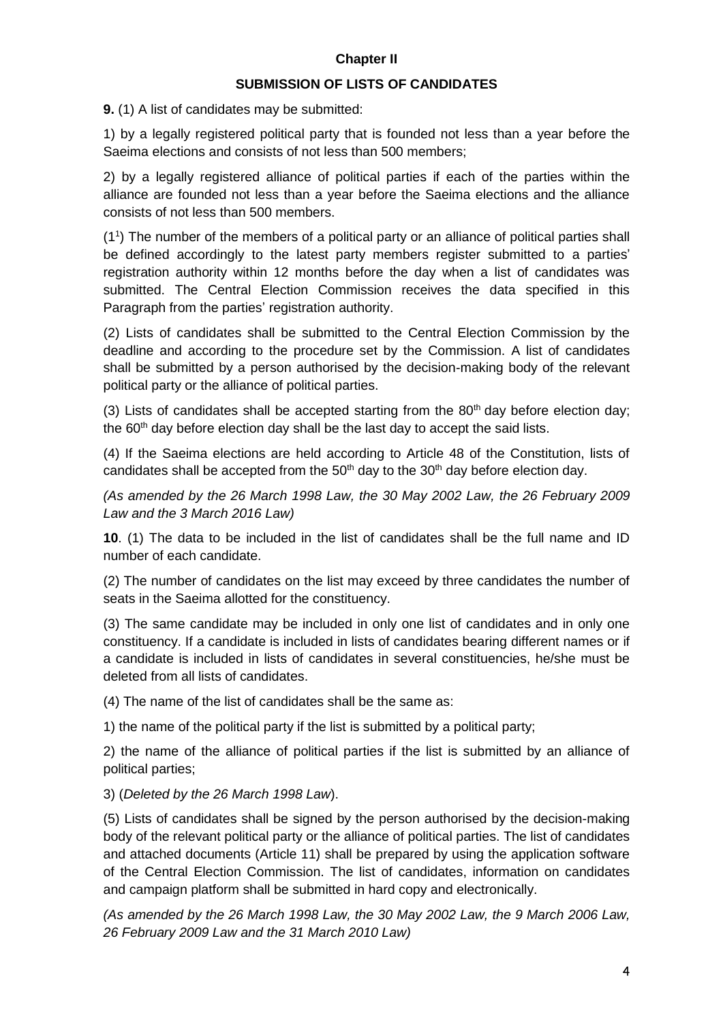## **Chapter II**

#### **SUBMISSION OF LISTS OF CANDIDATES**

**9.** (1) A list of candidates may be submitted:

1) by a legally registered political party that is founded not less than a year before the Saeima elections and consists of not less than 500 members;

2) by a legally registered alliance of political parties if each of the parties within the alliance are founded not less than a year before the Saeima elections and the alliance consists of not less than 500 members.

(1<sup>1</sup> ) The number of the members of a political party or an alliance of political parties shall be defined accordingly to the latest party members register submitted to a parties' registration authority within 12 months before the day when a list of candidates was submitted. The Central Election Commission receives the data specified in this Paragraph from the parties' registration authority.

(2) Lists of candidates shall be submitted to the Central Election Commission by the deadline and according to the procedure set by the Commission. A list of candidates shall be submitted by a person authorised by the decision-making body of the relevant political party or the alliance of political parties.

(3) Lists of candidates shall be accepted starting from the  $80<sup>th</sup>$  day before election day; the  $60<sup>th</sup>$  day before election day shall be the last day to accept the said lists.

(4) If the Saeima elections are held according to Article 48 of the Constitution, lists of candidates shall be accepted from the  $50<sup>th</sup>$  day to the  $30<sup>th</sup>$  day before election day.

*(As amended by the 26 March 1998 Law, the 30 May 2002 Law, the 26 February 2009 Law and the 3 March 2016 Law)*

**10**. (1) The data to be included in the list of candidates shall be the full name and ID number of each candidate.

(2) The number of candidates on the list may exceed by three candidates the number of seats in the Saeima allotted for the constituency.

(3) The same candidate may be included in only one list of candidates and in only one constituency. If a candidate is included in lists of candidates bearing different names or if a candidate is included in lists of candidates in several constituencies, he/she must be deleted from all lists of candidates.

(4) The name of the list of candidates shall be the same as:

1) the name of the political party if the list is submitted by a political party;

2) the name of the alliance of political parties if the list is submitted by an alliance of political parties;

3) (*Deleted by the 26 March 1998 Law*).

(5) Lists of candidates shall be signed by the person authorised by the decision-making body of the relevant political party or the alliance of political parties. The list of candidates and attached documents (Article 11) shall be prepared by using the application software of the Central Election Commission. The list of candidates, information on candidates and campaign platform shall be submitted in hard copy and electronically.

*(As amended by the 26 March 1998 Law, the 30 May 2002 Law, the 9 March 2006 Law, 26 February 2009 Law and the 31 March 2010 Law)*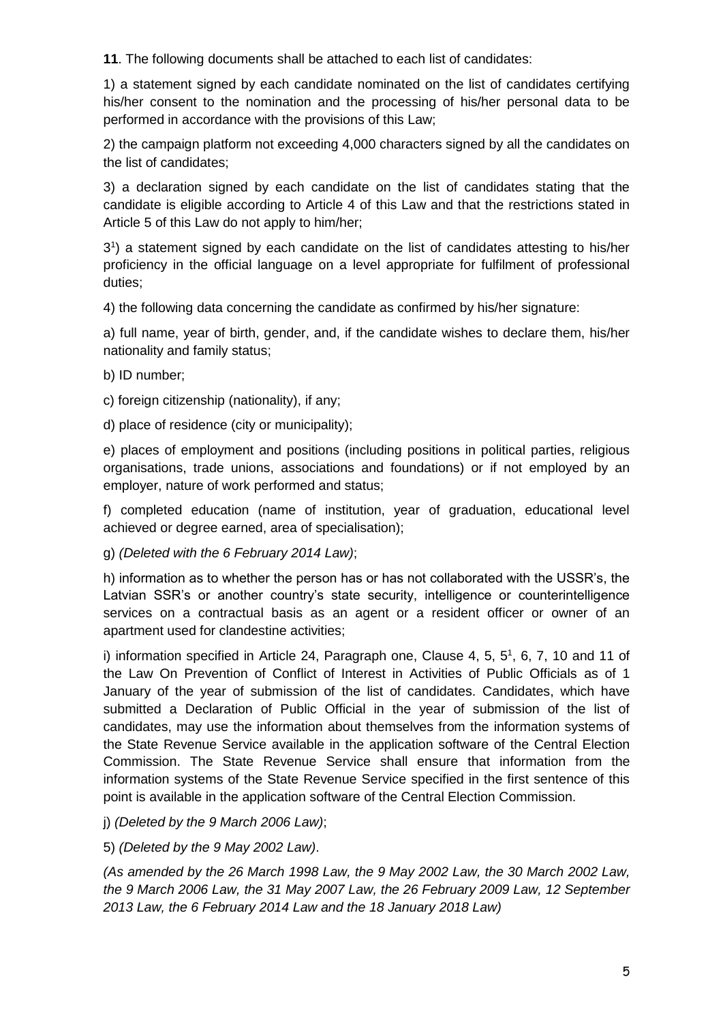**11**. The following documents shall be attached to each list of candidates:

1) a statement signed by each candidate nominated on the list of candidates certifying his/her consent to the nomination and the processing of his/her personal data to be performed in accordance with the provisions of this Law;

2) the campaign platform not exceeding 4,000 characters signed by all the candidates on the list of candidates;

3) a declaration signed by each candidate on the list of candidates stating that the candidate is eligible according to Article 4 of this Law and that the restrictions stated in Article 5 of this Law do not apply to him/her;

3 1 ) a statement signed by each candidate on the list of candidates attesting to his/her proficiency in the official language on a level appropriate for fulfilment of professional duties;

4) the following data concerning the candidate as confirmed by his/her signature:

a) full name, year of birth, gender, and, if the candidate wishes to declare them, his/her nationality and family status;

- b) ID number;
- c) foreign citizenship (nationality), if any;

d) place of residence (city or municipality);

e) places of employment and positions (including positions in political parties, religious organisations, trade unions, associations and foundations) or if not employed by an employer, nature of work performed and status;

f) completed education (name of institution, year of graduation, educational level achieved or degree earned, area of specialisation);

g) *(Deleted with the 6 February 2014 Law)*;

h) information as to whether the person has or has not collaborated with the USSR's, the Latvian SSR's or another country's state security, intelligence or counterintelligence services on a contractual basis as an agent or a resident officer or owner of an apartment used for clandestine activities;

i) information specified in Article 24, Paragraph one, Clause 4, 5,  $5^1$ , 6, 7, 10 and 11 of the Law On Prevention of Conflict of Interest in Activities of Public Officials as of 1 January of the year of submission of the list of candidates. Candidates, which have submitted a Declaration of Public Official in the year of submission of the list of candidates, may use the information about themselves from the information systems of the State Revenue Service available in the application software of the Central Election Commission. The State Revenue Service shall ensure that information from the information systems of the State Revenue Service specified in the first sentence of this point is available in the application software of the Central Election Commission.

j) *(Deleted by the 9 March 2006 Law)*;

5) *(Deleted by the 9 May 2002 Law)*.

*(As amended by the 26 March 1998 Law, the 9 May 2002 Law, the 30 March 2002 Law, the 9 March 2006 Law, the 31 May 2007 Law, the 26 February 2009 Law, 12 September 2013 Law, the 6 February 2014 Law and the 18 January 2018 Law)*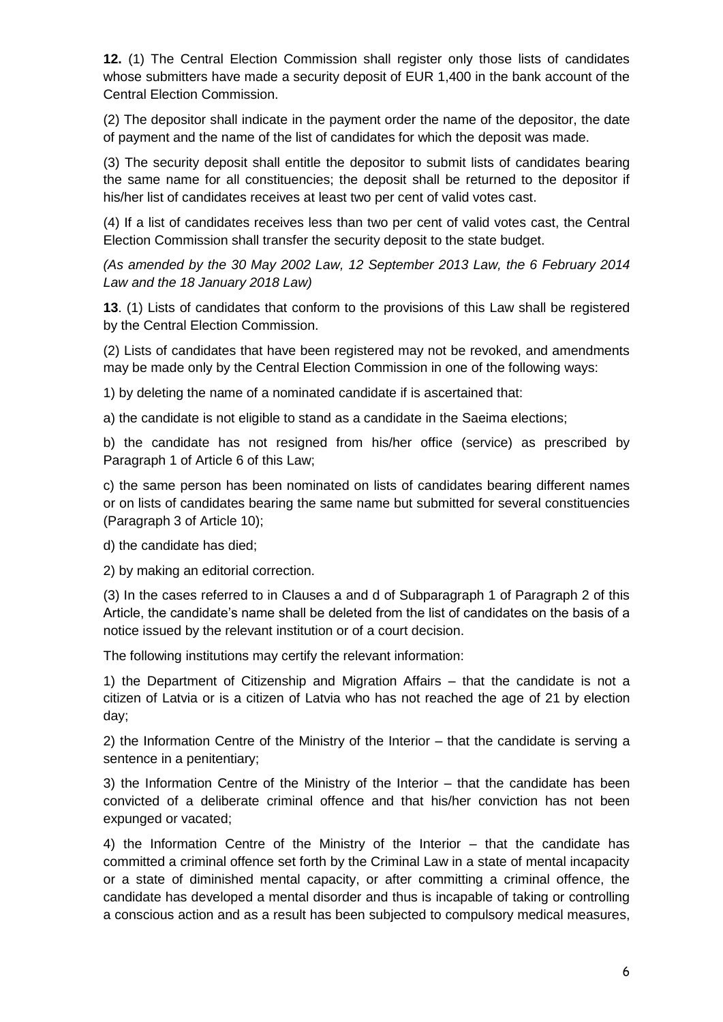**12.** (1) The Central Election Commission shall register only those lists of candidates whose submitters have made a security deposit of EUR 1,400 in the bank account of the Central Election Commission.

(2) The depositor shall indicate in the payment order the name of the depositor, the date of payment and the name of the list of candidates for which the deposit was made.

(3) The security deposit shall entitle the depositor to submit lists of candidates bearing the same name for all constituencies; the deposit shall be returned to the depositor if his/her list of candidates receives at least two per cent of valid votes cast.

(4) If a list of candidates receives less than two per cent of valid votes cast, the Central Election Commission shall transfer the security deposit to the state budget.

*(As amended by the 30 May 2002 Law, 12 September 2013 Law, the 6 February 2014 Law and the 18 January 2018 Law)*

**13**. (1) Lists of candidates that conform to the provisions of this Law shall be registered by the Central Election Commission.

(2) Lists of candidates that have been registered may not be revoked, and amendments may be made only by the Central Election Commission in one of the following ways:

1) by deleting the name of a nominated candidate if is ascertained that:

a) the candidate is not eligible to stand as a candidate in the Saeima elections;

b) the candidate has not resigned from his/her office (service) as prescribed by Paragraph 1 of Article 6 of this Law;

c) the same person has been nominated on lists of candidates bearing different names or on lists of candidates bearing the same name but submitted for several constituencies (Paragraph 3 of Article 10);

d) the candidate has died;

2) by making an editorial correction.

(3) In the cases referred to in Clauses a and d of Subparagraph 1 of Paragraph 2 of this Article, the candidate's name shall be deleted from the list of candidates on the basis of a notice issued by the relevant institution or of a court decision.

The following institutions may certify the relevant information:

1) the Department of Citizenship and Migration Affairs – that the candidate is not a citizen of Latvia or is a citizen of Latvia who has not reached the age of 21 by election day;

2) the Information Centre of the Ministry of the Interior – that the candidate is serving a sentence in a penitentiary;

3) the Information Centre of the Ministry of the Interior – that the candidate has been convicted of a deliberate criminal offence and that his/her conviction has not been expunged or vacated;

4) the Information Centre of the Ministry of the Interior – that the candidate has committed a criminal offence set forth by the Criminal Law in a state of mental incapacity or a state of diminished mental capacity, or after committing a criminal offence, the candidate has developed a mental disorder and thus is incapable of taking or controlling a conscious action and as a result has been subjected to compulsory medical measures,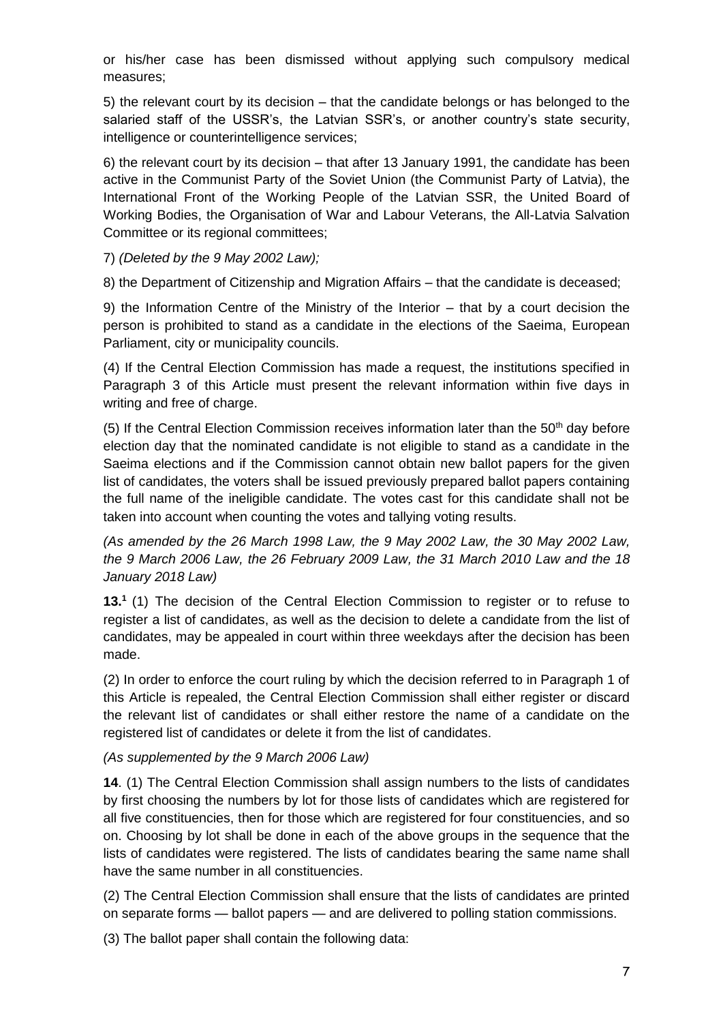or his/her case has been dismissed without applying such compulsory medical measures;

5) the relevant court by its decision – that the candidate belongs or has belonged to the salaried staff of the USSR's, the Latvian SSR's, or another country's state security, intelligence or counterintelligence services;

6) the relevant court by its decision – that after 13 January 1991, the candidate has been active in the Communist Party of the Soviet Union (the Communist Party of Latvia), the International Front of the Working People of the Latvian SSR, the United Board of Working Bodies, the Organisation of War and Labour Veterans, the All-Latvia Salvation Committee or its regional committees;

7) *(Deleted by the 9 May 2002 Law);*

8) the Department of Citizenship and Migration Affairs – that the candidate is deceased;

9) the Information Centre of the Ministry of the Interior – that by a court decision the person is prohibited to stand as a candidate in the elections of the Saeima, European Parliament, city or municipality councils.

(4) If the Central Election Commission has made a request, the institutions specified in Paragraph 3 of this Article must present the relevant information within five days in writing and free of charge.

(5) If the Central Election Commission receives information later than the  $50<sup>th</sup>$  day before election day that the nominated candidate is not eligible to stand as a candidate in the Saeima elections and if the Commission cannot obtain new ballot papers for the given list of candidates, the voters shall be issued previously prepared ballot papers containing the full name of the ineligible candidate. The votes cast for this candidate shall not be taken into account when counting the votes and tallying voting results.

*(As amended by the 26 March 1998 Law, the 9 May 2002 Law, the 30 May 2002 Law, the 9 March 2006 Law, the 26 February 2009 Law, the 31 March 2010 Law and the 18 January 2018 Law)*

**13.<sup>1</sup>** (1) The decision of the Central Election Commission to register or to refuse to register a list of candidates, as well as the decision to delete a candidate from the list of candidates, may be appealed in court within three weekdays after the decision has been made.

(2) In order to enforce the court ruling by which the decision referred to in Paragraph 1 of this Article is repealed, the Central Election Commission shall either register or discard the relevant list of candidates or shall either restore the name of a candidate on the registered list of candidates or delete it from the list of candidates.

## *(As supplemented by the 9 March 2006 Law)*

**14**. (1) The Central Election Commission shall assign numbers to the lists of candidates by first choosing the numbers by lot for those lists of candidates which are registered for all five constituencies, then for those which are registered for four constituencies, and so on. Choosing by lot shall be done in each of the above groups in the sequence that the lists of candidates were registered. The lists of candidates bearing the same name shall have the same number in all constituencies.

(2) The Central Election Commission shall ensure that the lists of candidates are printed on separate forms — ballot papers — and are delivered to polling station commissions.

(3) The ballot paper shall contain the following data: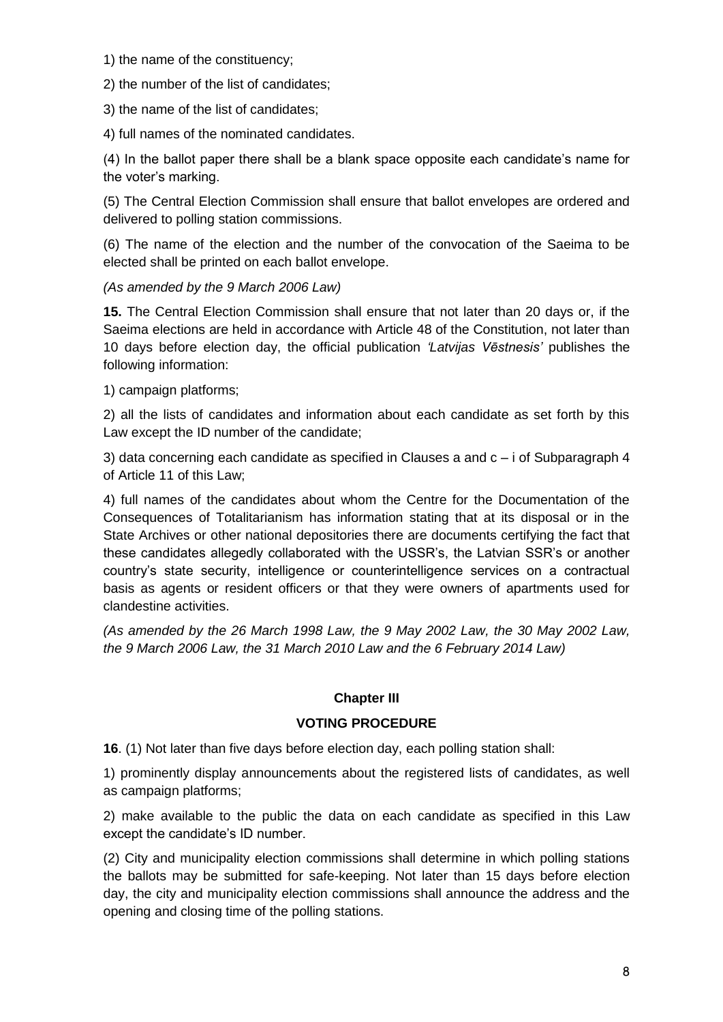1) the name of the constituency;

2) the number of the list of candidates;

3) the name of the list of candidates;

4) full names of the nominated candidates.

(4) In the ballot paper there shall be a blank space opposite each candidate's name for the voter's marking.

(5) The Central Election Commission shall ensure that ballot envelopes are ordered and delivered to polling station commissions.

(6) The name of the election and the number of the convocation of the Saeima to be elected shall be printed on each ballot envelope.

*(As amended by the 9 March 2006 Law)*

**15.** The Central Election Commission shall ensure that not later than 20 days or, if the Saeima elections are held in accordance with Article 48 of the Constitution, not later than 10 days before election day, the official publication *'Latvijas Vēstnesis'* publishes the following information:

1) campaign platforms;

2) all the lists of candidates and information about each candidate as set forth by this Law except the ID number of the candidate;

3) data concerning each candidate as specified in Clauses a and c – i of Subparagraph 4 of Article 11 of this Law;

4) full names of the candidates about whom the Centre for the Documentation of the Consequences of Totalitarianism has information stating that at its disposal or in the State Archives or other national depositories there are documents certifying the fact that these candidates allegedly collaborated with the USSR's, the Latvian SSR's or another country's state security, intelligence or counterintelligence services on a contractual basis as agents or resident officers or that they were owners of apartments used for clandestine activities.

*(As amended by the 26 March 1998 Law, the 9 May 2002 Law, the 30 May 2002 Law, the 9 March 2006 Law, the 31 March 2010 Law and the 6 February 2014 Law)*

## **Chapter III**

## **VOTING PROCEDURE**

**16**. (1) Not later than five days before election day, each polling station shall:

1) prominently display announcements about the registered lists of candidates, as well as campaign platforms;

2) make available to the public the data on each candidate as specified in this Law except the candidate's ID number.

(2) City and municipality election commissions shall determine in which polling stations the ballots may be submitted for safe-keeping. Not later than 15 days before election day, the city and municipality election commissions shall announce the address and the opening and closing time of the polling stations.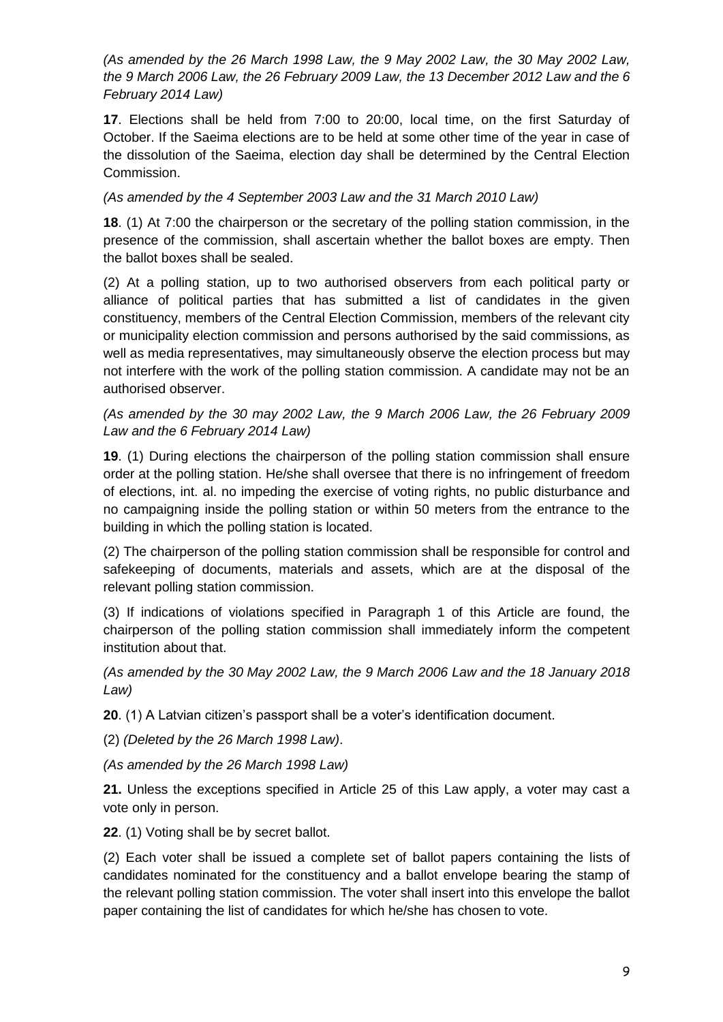*(As amended by the 26 March 1998 Law, the 9 May 2002 Law, the 30 May 2002 Law, the 9 March 2006 Law, the 26 February 2009 Law, the 13 December 2012 Law and the 6 February 2014 Law)*

**17**. Elections shall be held from 7:00 to 20:00, local time, on the first Saturday of October. If the Saeima elections are to be held at some other time of the year in case of the dissolution of the Saeima, election day shall be determined by the Central Election Commission.

*(As amended by the 4 September 2003 Law and the 31 March 2010 Law)*

**18**. (1) At 7:00 the chairperson or the secretary of the polling station commission, in the presence of the commission, shall ascertain whether the ballot boxes are empty. Then the ballot boxes shall be sealed.

(2) At a polling station, up to two authorised observers from each political party or alliance of political parties that has submitted a list of candidates in the given constituency, members of the Central Election Commission, members of the relevant city or municipality election commission and persons authorised by the said commissions, as well as media representatives, may simultaneously observe the election process but may not interfere with the work of the polling station commission. A candidate may not be an authorised observer.

*(As amended by the 30 may 2002 Law, the 9 March 2006 Law, the 26 February 2009 Law and the 6 February 2014 Law)*

**19**. (1) During elections the chairperson of the polling station commission shall ensure order at the polling station. He/she shall oversee that there is no infringement of freedom of elections, int. al. no impeding the exercise of voting rights, no public disturbance and no campaigning inside the polling station or within 50 meters from the entrance to the building in which the polling station is located.

(2) The chairperson of the polling station commission shall be responsible for control and safekeeping of documents, materials and assets, which are at the disposal of the relevant polling station commission.

(3) If indications of violations specified in Paragraph 1 of this Article are found, the chairperson of the polling station commission shall immediately inform the competent institution about that.

*(As amended by the 30 May 2002 Law, the 9 March 2006 Law and the 18 January 2018 Law)*

**20**. (1) A Latvian citizen's passport shall be a voter's identification document.

(2) *(Deleted by the 26 March 1998 Law)*.

*(As amended by the 26 March 1998 Law)*

**21.** Unless the exceptions specified in Article 25 of this Law apply, a voter may cast a vote only in person.

**22**. (1) Voting shall be by secret ballot.

(2) Each voter shall be issued a complete set of ballot papers containing the lists of candidates nominated for the constituency and a ballot envelope bearing the stamp of the relevant polling station commission. The voter shall insert into this envelope the ballot paper containing the list of candidates for which he/she has chosen to vote.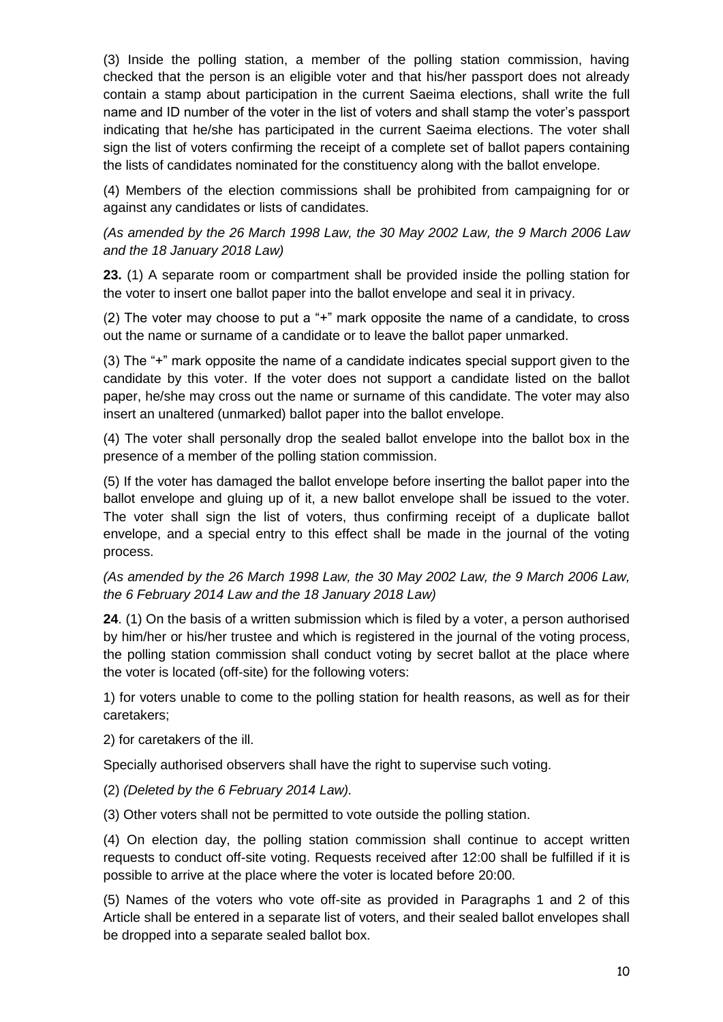(3) Inside the polling station, a member of the polling station commission, having checked that the person is an eligible voter and that his/her passport does not already contain a stamp about participation in the current Saeima elections, shall write the full name and ID number of the voter in the list of voters and shall stamp the voter's passport indicating that he/she has participated in the current Saeima elections. The voter shall sign the list of voters confirming the receipt of a complete set of ballot papers containing the lists of candidates nominated for the constituency along with the ballot envelope.

(4) Members of the election commissions shall be prohibited from campaigning for or against any candidates or lists of candidates.

*(As amended by the 26 March 1998 Law, the 30 May 2002 Law, the 9 March 2006 Law and the 18 January 2018 Law)*

**23.** (1) A separate room or compartment shall be provided inside the polling station for the voter to insert one ballot paper into the ballot envelope and seal it in privacy.

(2) The voter may choose to put a "+" mark opposite the name of a candidate, to cross out the name or surname of a candidate or to leave the ballot paper unmarked.

(3) The "+" mark opposite the name of a candidate indicates special support given to the candidate by this voter. If the voter does not support a candidate listed on the ballot paper, he/she may cross out the name or surname of this candidate. The voter may also insert an unaltered (unmarked) ballot paper into the ballot envelope.

(4) The voter shall personally drop the sealed ballot envelope into the ballot box in the presence of a member of the polling station commission.

(5) If the voter has damaged the ballot envelope before inserting the ballot paper into the ballot envelope and gluing up of it, a new ballot envelope shall be issued to the voter. The voter shall sign the list of voters, thus confirming receipt of a duplicate ballot envelope, and a special entry to this effect shall be made in the journal of the voting process.

*(As amended by the 26 March 1998 Law, the 30 May 2002 Law, the 9 March 2006 Law, the 6 February 2014 Law and the 18 January 2018 Law)*

**24**. (1) On the basis of a written submission which is filed by a voter, a person authorised by him/her or his/her trustee and which is registered in the journal of the voting process, the polling station commission shall conduct voting by secret ballot at the place where the voter is located (off-site) for the following voters:

1) for voters unable to come to the polling station for health reasons, as well as for their caretakers;

2) for caretakers of the ill.

Specially authorised observers shall have the right to supervise such voting.

(2) *(Deleted by the 6 February 2014 Law).*

(3) Other voters shall not be permitted to vote outside the polling station.

(4) On election day, the polling station commission shall continue to accept written requests to conduct off-site voting. Requests received after 12:00 shall be fulfilled if it is possible to arrive at the place where the voter is located before 20:00.

(5) Names of the voters who vote off-site as provided in Paragraphs 1 and 2 of this Article shall be entered in a separate list of voters, and their sealed ballot envelopes shall be dropped into a separate sealed ballot box.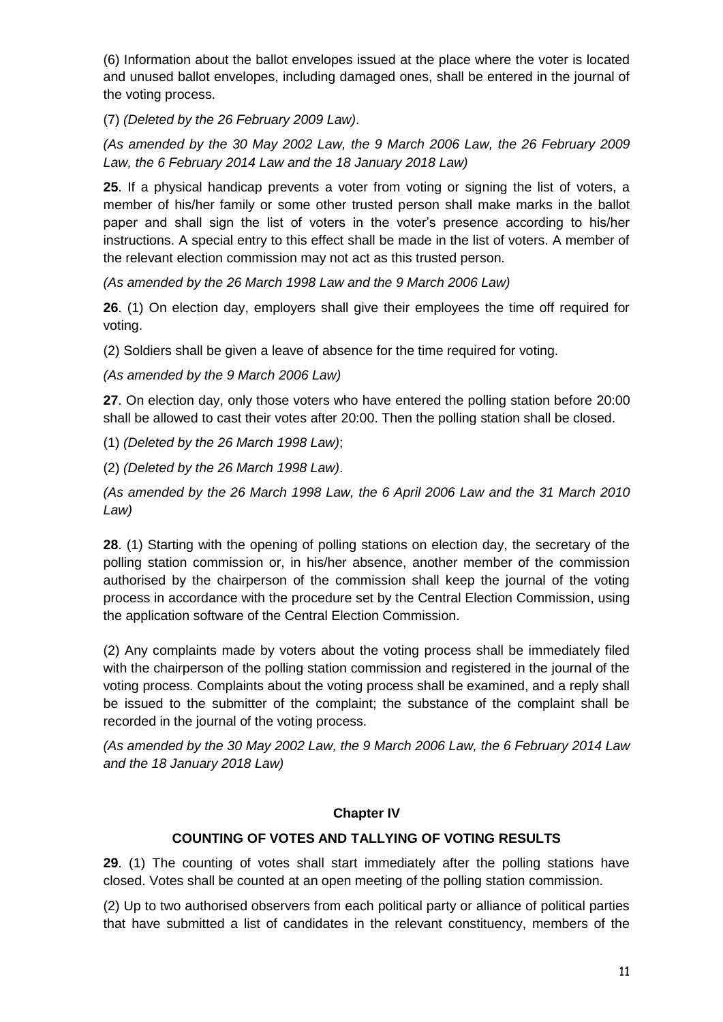(6) Information about the ballot envelopes issued at the place where the voter is located and unused ballot envelopes, including damaged ones, shall be entered in the journal of the voting process.

(7) *(Deleted by the 26 February 2009 Law)*.

*(As amended by the 30 May 2002 Law, the 9 March 2006 Law, the 26 February 2009 Law, the 6 February 2014 Law and the 18 January 2018 Law)*

**25**. If a physical handicap prevents a voter from voting or signing the list of voters, a member of his/her family or some other trusted person shall make marks in the ballot paper and shall sign the list of voters in the voter's presence according to his/her instructions. A special entry to this effect shall be made in the list of voters. A member of the relevant election commission may not act as this trusted person.

*(As amended by the 26 March 1998 Law and the 9 March 2006 Law)*

**26**. (1) On election day, employers shall give their employees the time off required for voting.

(2) Soldiers shall be given a leave of absence for the time required for voting.

*(As amended by the 9 March 2006 Law)*

**27**. On election day, only those voters who have entered the polling station before 20:00 shall be allowed to cast their votes after 20:00. Then the polling station shall be closed.

(1) *(Deleted by the 26 March 1998 Law)*;

(2) *(Deleted by the 26 March 1998 Law)*.

*(As amended by the 26 March 1998 Law, the 6 April 2006 Law and the 31 March 2010 Law)*

**28**. (1) Starting with the opening of polling stations on election day, the secretary of the polling station commission or, in his/her absence, another member of the commission authorised by the chairperson of the commission shall keep the journal of the voting process in accordance with the procedure set by the Central Election Commission, using the application software of the Central Election Commission.

(2) Any complaints made by voters about the voting process shall be immediately filed with the chairperson of the polling station commission and registered in the journal of the voting process. Complaints about the voting process shall be examined, and a reply shall be issued to the submitter of the complaint; the substance of the complaint shall be recorded in the journal of the voting process.

*(As amended by the 30 May 2002 Law, the 9 March 2006 Law, the 6 February 2014 Law and the 18 January 2018 Law)*

## **Chapter IV**

## **COUNTING OF VOTES AND TALLYING OF VOTING RESULTS**

**29**. (1) The counting of votes shall start immediately after the polling stations have closed. Votes shall be counted at an open meeting of the polling station commission.

(2) Up to two authorised observers from each political party or alliance of political parties that have submitted a list of candidates in the relevant constituency, members of the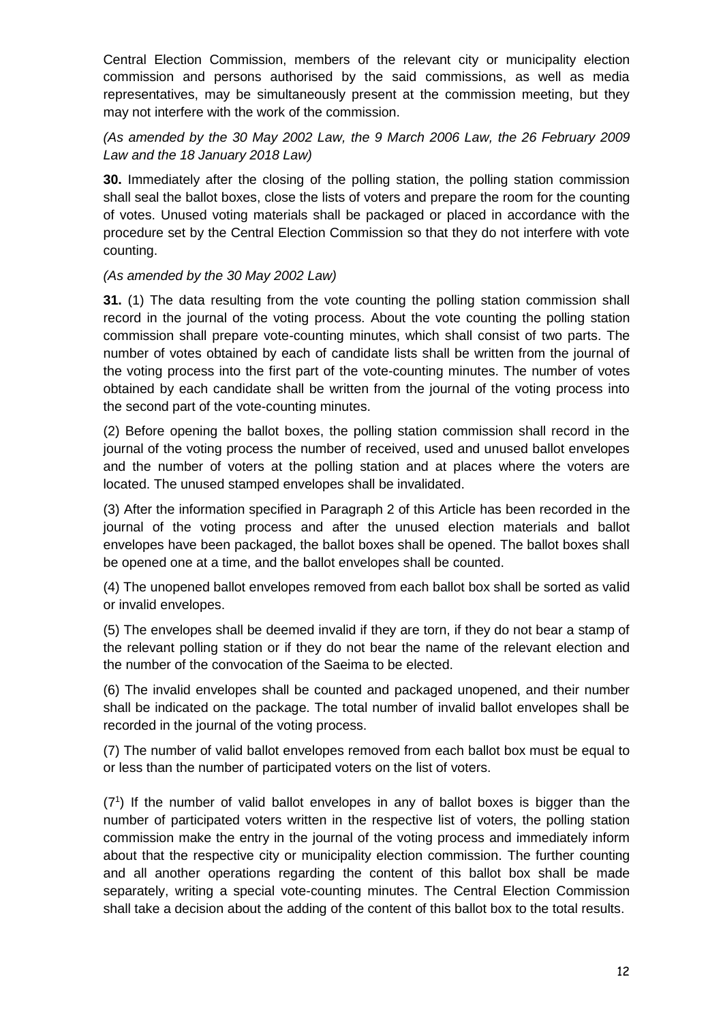Central Election Commission, members of the relevant city or municipality election commission and persons authorised by the said commissions, as well as media representatives, may be simultaneously present at the commission meeting, but they may not interfere with the work of the commission.

## *(As amended by the 30 May 2002 Law, the 9 March 2006 Law, the 26 February 2009 Law and the 18 January 2018 Law)*

**30.** Immediately after the closing of the polling station, the polling station commission shall seal the ballot boxes, close the lists of voters and prepare the room for the counting of votes. Unused voting materials shall be packaged or placed in accordance with the procedure set by the Central Election Commission so that they do not interfere with vote counting.

## *(As amended by the 30 May 2002 Law)*

**31.** (1) The data resulting from the vote counting the polling station commission shall record in the journal of the voting process. About the vote counting the polling station commission shall prepare vote-counting minutes, which shall consist of two parts. The number of votes obtained by each of candidate lists shall be written from the journal of the voting process into the first part of the vote-counting minutes. The number of votes obtained by each candidate shall be written from the journal of the voting process into the second part of the vote-counting minutes.

(2) Before opening the ballot boxes, the polling station commission shall record in the journal of the voting process the number of received, used and unused ballot envelopes and the number of voters at the polling station and at places where the voters are located. The unused stamped envelopes shall be invalidated.

(3) After the information specified in Paragraph 2 of this Article has been recorded in the journal of the voting process and after the unused election materials and ballot envelopes have been packaged, the ballot boxes shall be opened. The ballot boxes shall be opened one at a time, and the ballot envelopes shall be counted.

(4) The unopened ballot envelopes removed from each ballot box shall be sorted as valid or invalid envelopes.

(5) The envelopes shall be deemed invalid if they are torn, if they do not bear a stamp of the relevant polling station or if they do not bear the name of the relevant election and the number of the convocation of the Saeima to be elected.

(6) The invalid envelopes shall be counted and packaged unopened, and their number shall be indicated on the package. The total number of invalid ballot envelopes shall be recorded in the journal of the voting process.

(7) The number of valid ballot envelopes removed from each ballot box must be equal to or less than the number of participated voters on the list of voters.

(7<sup>1</sup> ) If the number of valid ballot envelopes in any of ballot boxes is bigger than the number of participated voters written in the respective list of voters, the polling station commission make the entry in the journal of the voting process and immediately inform about that the respective city or municipality election commission. The further counting and all another operations regarding the content of this ballot box shall be made separately, writing a special vote-counting minutes. The Central Election Commission shall take a decision about the adding of the content of this ballot box to the total results.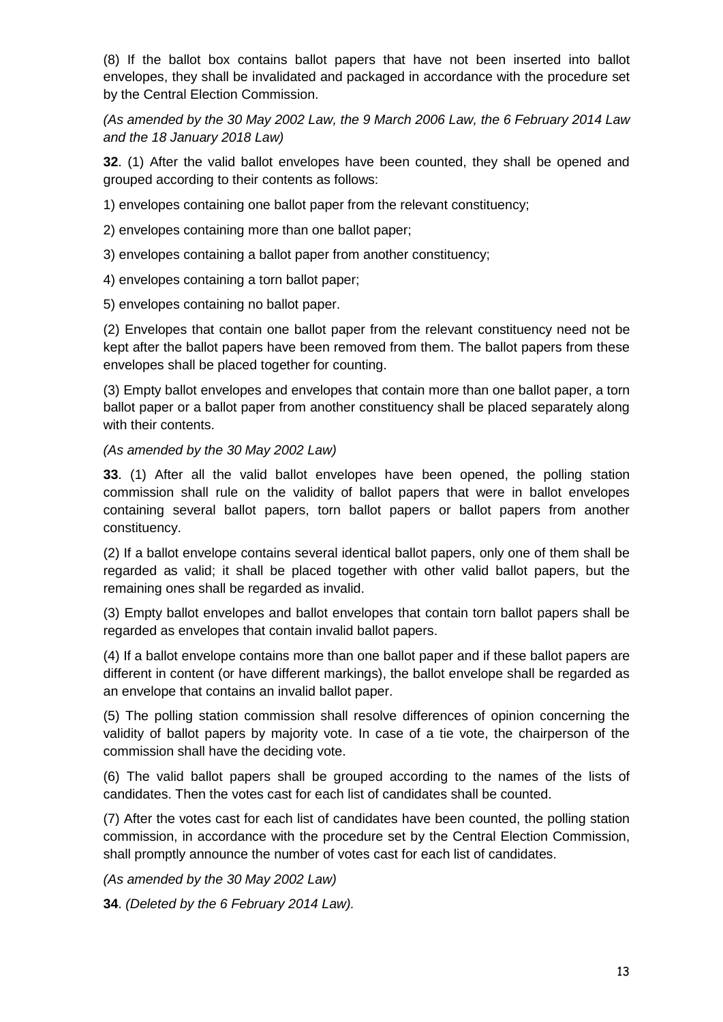(8) If the ballot box contains ballot papers that have not been inserted into ballot envelopes, they shall be invalidated and packaged in accordance with the procedure set by the Central Election Commission.

*(As amended by the 30 May 2002 Law, the 9 March 2006 Law, the 6 February 2014 Law and the 18 January 2018 Law)*

**32**. (1) After the valid ballot envelopes have been counted, they shall be opened and grouped according to their contents as follows:

1) envelopes containing one ballot paper from the relevant constituency;

2) envelopes containing more than one ballot paper;

3) envelopes containing a ballot paper from another constituency;

4) envelopes containing a torn ballot paper;

5) envelopes containing no ballot paper.

(2) Envelopes that contain one ballot paper from the relevant constituency need not be kept after the ballot papers have been removed from them. The ballot papers from these envelopes shall be placed together for counting.

(3) Empty ballot envelopes and envelopes that contain more than one ballot paper, a torn ballot paper or a ballot paper from another constituency shall be placed separately along with their contents.

### *(As amended by the 30 May 2002 Law)*

**33**. (1) After all the valid ballot envelopes have been opened, the polling station commission shall rule on the validity of ballot papers that were in ballot envelopes containing several ballot papers, torn ballot papers or ballot papers from another constituency.

(2) If a ballot envelope contains several identical ballot papers, only one of them shall be regarded as valid; it shall be placed together with other valid ballot papers, but the remaining ones shall be regarded as invalid.

(3) Empty ballot envelopes and ballot envelopes that contain torn ballot papers shall be regarded as envelopes that contain invalid ballot papers.

(4) If a ballot envelope contains more than one ballot paper and if these ballot papers are different in content (or have different markings), the ballot envelope shall be regarded as an envelope that contains an invalid ballot paper.

(5) The polling station commission shall resolve differences of opinion concerning the validity of ballot papers by majority vote. In case of a tie vote, the chairperson of the commission shall have the deciding vote.

(6) The valid ballot papers shall be grouped according to the names of the lists of candidates. Then the votes cast for each list of candidates shall be counted.

(7) After the votes cast for each list of candidates have been counted, the polling station commission, in accordance with the procedure set by the Central Election Commission, shall promptly announce the number of votes cast for each list of candidates.

*(As amended by the 30 May 2002 Law)*

**34**. *(Deleted by the 6 February 2014 Law).*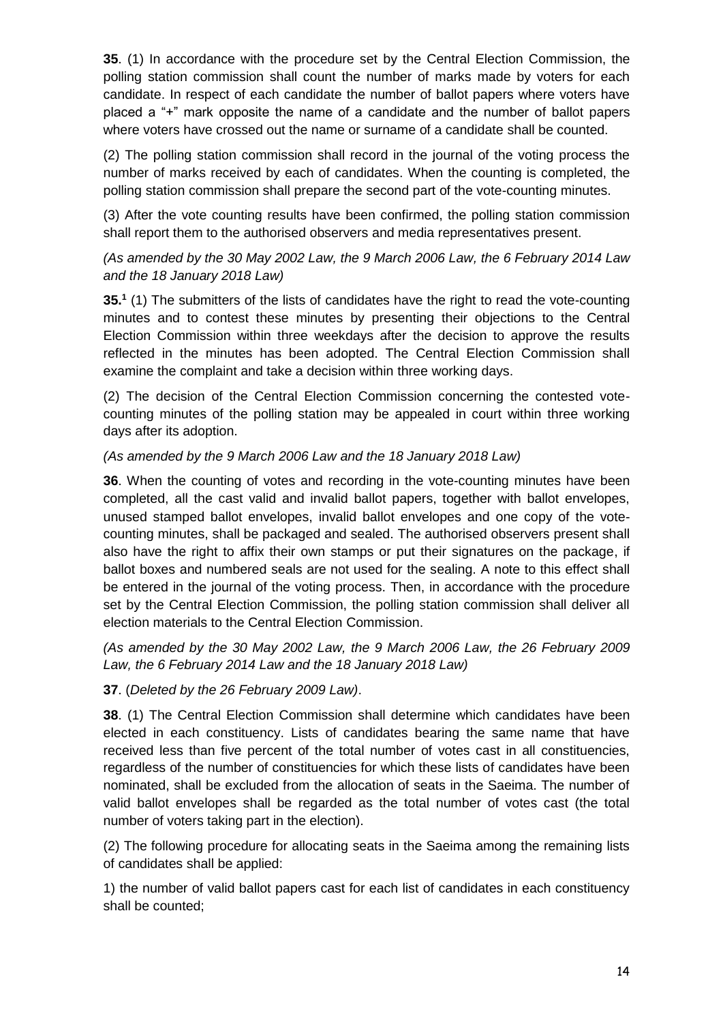**35**. (1) In accordance with the procedure set by the Central Election Commission, the polling station commission shall count the number of marks made by voters for each candidate. In respect of each candidate the number of ballot papers where voters have placed a "+" mark opposite the name of a candidate and the number of ballot papers where voters have crossed out the name or surname of a candidate shall be counted.

(2) The polling station commission shall record in the journal of the voting process the number of marks received by each of candidates. When the counting is completed, the polling station commission shall prepare the second part of the vote-counting minutes.

(3) After the vote counting results have been confirmed, the polling station commission shall report them to the authorised observers and media representatives present.

## *(As amended by the 30 May 2002 Law, the 9 March 2006 Law, the 6 February 2014 Law and the 18 January 2018 Law)*

**35.<sup>1</sup>** (1) The submitters of the lists of candidates have the right to read the vote-counting minutes and to contest these minutes by presenting their objections to the Central Election Commission within three weekdays after the decision to approve the results reflected in the minutes has been adopted. The Central Election Commission shall examine the complaint and take a decision within three working days.

(2) The decision of the Central Election Commission concerning the contested votecounting minutes of the polling station may be appealed in court within three working days after its adoption.

### *(As amended by the 9 March 2006 Law and the 18 January 2018 Law)*

**36**. When the counting of votes and recording in the vote-counting minutes have been completed, all the cast valid and invalid ballot papers, together with ballot envelopes, unused stamped ballot envelopes, invalid ballot envelopes and one copy of the votecounting minutes, shall be packaged and sealed. The authorised observers present shall also have the right to affix their own stamps or put their signatures on the package, if ballot boxes and numbered seals are not used for the sealing. A note to this effect shall be entered in the journal of the voting process. Then, in accordance with the procedure set by the Central Election Commission, the polling station commission shall deliver all election materials to the Central Election Commission.

*(As amended by the 30 May 2002 Law, the 9 March 2006 Law, the 26 February 2009 Law, the 6 February 2014 Law and the 18 January 2018 Law)*

#### **37**. (*Deleted by the 26 February 2009 Law)*.

**38**. (1) The Central Election Commission shall determine which candidates have been elected in each constituency. Lists of candidates bearing the same name that have received less than five percent of the total number of votes cast in all constituencies, regardless of the number of constituencies for which these lists of candidates have been nominated, shall be excluded from the allocation of seats in the Saeima. The number of valid ballot envelopes shall be regarded as the total number of votes cast (the total number of voters taking part in the election).

(2) The following procedure for allocating seats in the Saeima among the remaining lists of candidates shall be applied:

1) the number of valid ballot papers cast for each list of candidates in each constituency shall be counted;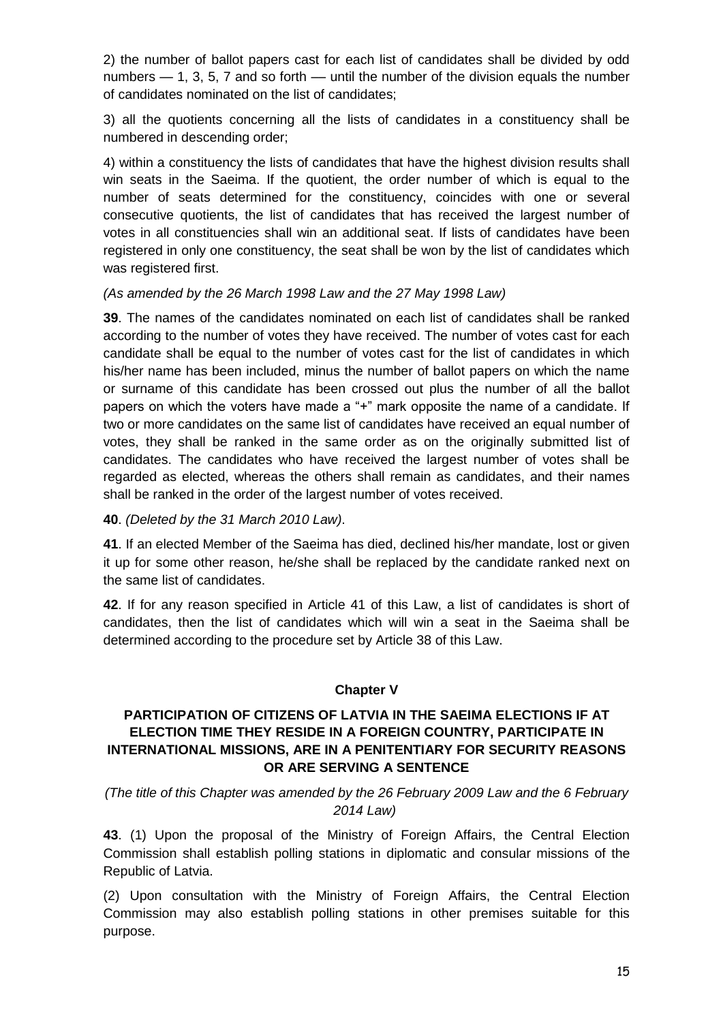2) the number of ballot papers cast for each list of candidates shall be divided by odd numbers  $-1$ , 3, 5, 7 and so forth  $-$  until the number of the division equals the number of candidates nominated on the list of candidates;

3) all the quotients concerning all the lists of candidates in a constituency shall be numbered in descending order;

4) within a constituency the lists of candidates that have the highest division results shall win seats in the Saeima. If the quotient, the order number of which is equal to the number of seats determined for the constituency, coincides with one or several consecutive quotients, the list of candidates that has received the largest number of votes in all constituencies shall win an additional seat. If lists of candidates have been registered in only one constituency, the seat shall be won by the list of candidates which was registered first.

### *(As amended by the 26 March 1998 Law and the 27 May 1998 Law)*

**39**. The names of the candidates nominated on each list of candidates shall be ranked according to the number of votes they have received. The number of votes cast for each candidate shall be equal to the number of votes cast for the list of candidates in which his/her name has been included, minus the number of ballot papers on which the name or surname of this candidate has been crossed out plus the number of all the ballot papers on which the voters have made a "+" mark opposite the name of a candidate. If two or more candidates on the same list of candidates have received an equal number of votes, they shall be ranked in the same order as on the originally submitted list of candidates. The candidates who have received the largest number of votes shall be regarded as elected, whereas the others shall remain as candidates, and their names shall be ranked in the order of the largest number of votes received.

**40**. *(Deleted by the 31 March 2010 Law)*.

**41**. If an elected Member of the Saeima has died, declined his/her mandate, lost or given it up for some other reason, he/she shall be replaced by the candidate ranked next on the same list of candidates.

**42**. If for any reason specified in Article 41 of this Law, a list of candidates is short of candidates, then the list of candidates which will win a seat in the Saeima shall be determined according to the procedure set by Article 38 of this Law.

## **Chapter V**

## **PARTICIPATION OF CITIZENS OF LATVIA IN THE SAEIMA ELECTIONS IF AT ELECTION TIME THEY RESIDE IN A FOREIGN COUNTRY, PARTICIPATE IN INTERNATIONAL MISSIONS, ARE IN A PENITENTIARY FOR SECURITY REASONS OR ARE SERVING A SENTENCE**

## *(The title of this Chapter was amended by the 26 February 2009 Law and the 6 February 2014 Law)*

**43**. (1) Upon the proposal of the Ministry of Foreign Affairs, the Central Election Commission shall establish polling stations in diplomatic and consular missions of the Republic of Latvia.

(2) Upon consultation with the Ministry of Foreign Affairs, the Central Election Commission may also establish polling stations in other premises suitable for this purpose.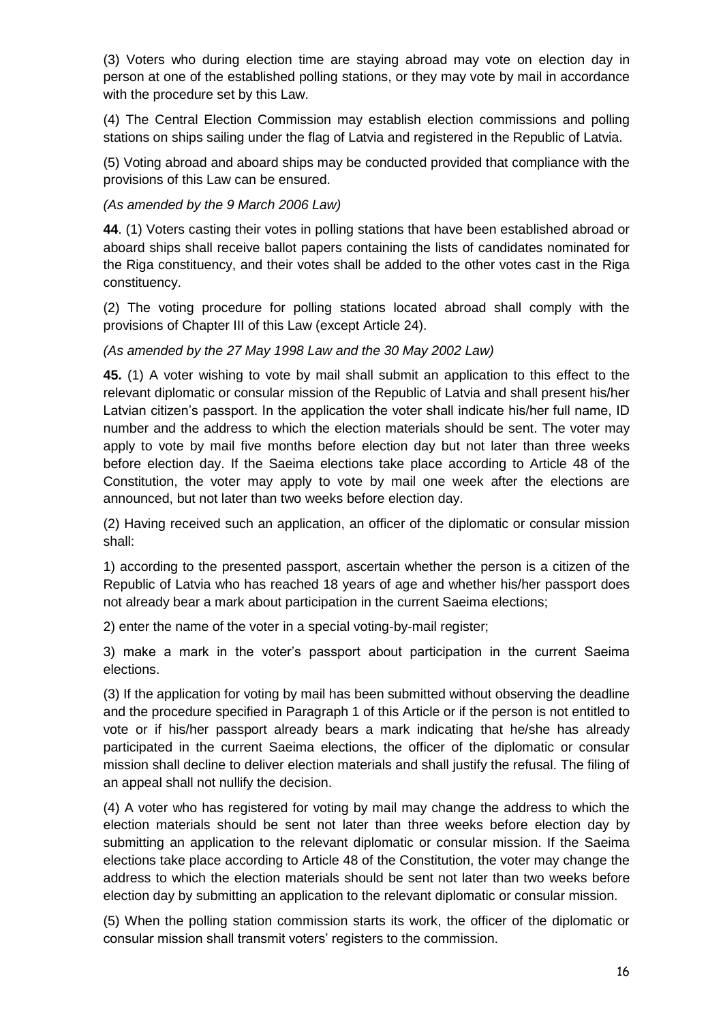(3) Voters who during election time are staying abroad may vote on election day in person at one of the established polling stations, or they may vote by mail in accordance with the procedure set by this Law.

(4) The Central Election Commission may establish election commissions and polling stations on ships sailing under the flag of Latvia and registered in the Republic of Latvia.

(5) Voting abroad and aboard ships may be conducted provided that compliance with the provisions of this Law can be ensured.

*(As amended by the 9 March 2006 Law)*

**44**. (1) Voters casting their votes in polling stations that have been established abroad or aboard ships shall receive ballot papers containing the lists of candidates nominated for the Riga constituency, and their votes shall be added to the other votes cast in the Riga constituency.

(2) The voting procedure for polling stations located abroad shall comply with the provisions of Chapter III of this Law (except Article 24).

*(As amended by the 27 May 1998 Law and the 30 May 2002 Law)*

**45.** (1) A voter wishing to vote by mail shall submit an application to this effect to the relevant diplomatic or consular mission of the Republic of Latvia and shall present his/her Latvian citizen's passport. In the application the voter shall indicate his/her full name, ID number and the address to which the election materials should be sent. The voter may apply to vote by mail five months before election day but not later than three weeks before election day. If the Saeima elections take place according to Article 48 of the Constitution, the voter may apply to vote by mail one week after the elections are announced, but not later than two weeks before election day.

(2) Having received such an application, an officer of the diplomatic or consular mission shall:

1) according to the presented passport, ascertain whether the person is a citizen of the Republic of Latvia who has reached 18 years of age and whether his/her passport does not already bear a mark about participation in the current Saeima elections;

2) enter the name of the voter in a special voting-by-mail register;

3) make a mark in the voter's passport about participation in the current Saeima elections.

(3) If the application for voting by mail has been submitted without observing the deadline and the procedure specified in Paragraph 1 of this Article or if the person is not entitled to vote or if his/her passport already bears a mark indicating that he/she has already participated in the current Saeima elections, the officer of the diplomatic or consular mission shall decline to deliver election materials and shall justify the refusal. The filing of an appeal shall not nullify the decision.

(4) A voter who has registered for voting by mail may change the address to which the election materials should be sent not later than three weeks before election day by submitting an application to the relevant diplomatic or consular mission. If the Saeima elections take place according to Article 48 of the Constitution, the voter may change the address to which the election materials should be sent not later than two weeks before election day by submitting an application to the relevant diplomatic or consular mission.

(5) When the polling station commission starts its work, the officer of the diplomatic or consular mission shall transmit voters' registers to the commission.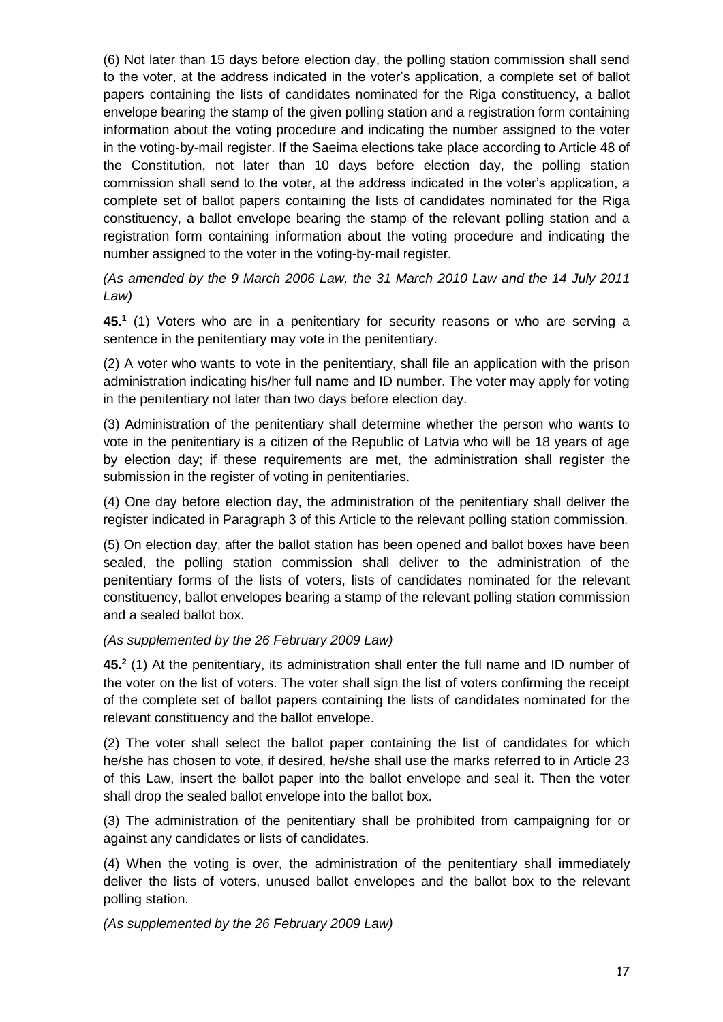(6) Not later than 15 days before election day, the polling station commission shall send to the voter, at the address indicated in the voter's application, a complete set of ballot papers containing the lists of candidates nominated for the Riga constituency, a ballot envelope bearing the stamp of the given polling station and a registration form containing information about the voting procedure and indicating the number assigned to the voter in the voting-by-mail register. If the Saeima elections take place according to Article 48 of the Constitution, not later than 10 days before election day, the polling station commission shall send to the voter, at the address indicated in the voter's application, a complete set of ballot papers containing the lists of candidates nominated for the Riga constituency, a ballot envelope bearing the stamp of the relevant polling station and a registration form containing information about the voting procedure and indicating the number assigned to the voter in the voting-by-mail register.

*(As amended by the 9 March 2006 Law, the 31 March 2010 Law and the 14 July 2011 Law)*

**45.<sup>1</sup>** (1) Voters who are in a penitentiary for security reasons or who are serving a sentence in the penitentiary may vote in the penitentiary.

(2) A voter who wants to vote in the penitentiary, shall file an application with the prison administration indicating his/her full name and ID number. The voter may apply for voting in the penitentiary not later than two days before election day.

(3) Administration of the penitentiary shall determine whether the person who wants to vote in the penitentiary is a citizen of the Republic of Latvia who will be 18 years of age by election day; if these requirements are met, the administration shall register the submission in the register of voting in penitentiaries.

(4) One day before election day, the administration of the penitentiary shall deliver the register indicated in Paragraph 3 of this Article to the relevant polling station commission.

(5) On election day, after the ballot station has been opened and ballot boxes have been sealed, the polling station commission shall deliver to the administration of the penitentiary forms of the lists of voters, lists of candidates nominated for the relevant constituency, ballot envelopes bearing a stamp of the relevant polling station commission and a sealed ballot box.

#### *(As supplemented by the 26 February 2009 Law)*

**45.<sup>2</sup>** (1) At the penitentiary, its administration shall enter the full name and ID number of the voter on the list of voters. The voter shall sign the list of voters confirming the receipt of the complete set of ballot papers containing the lists of candidates nominated for the relevant constituency and the ballot envelope.

(2) The voter shall select the ballot paper containing the list of candidates for which he/she has chosen to vote, if desired, he/she shall use the marks referred to in Article 23 of this Law, insert the ballot paper into the ballot envelope and seal it. Then the voter shall drop the sealed ballot envelope into the ballot box.

(3) The administration of the penitentiary shall be prohibited from campaigning for or against any candidates or lists of candidates.

(4) When the voting is over, the administration of the penitentiary shall immediately deliver the lists of voters, unused ballot envelopes and the ballot box to the relevant polling station.

*(As supplemented by the 26 February 2009 Law)*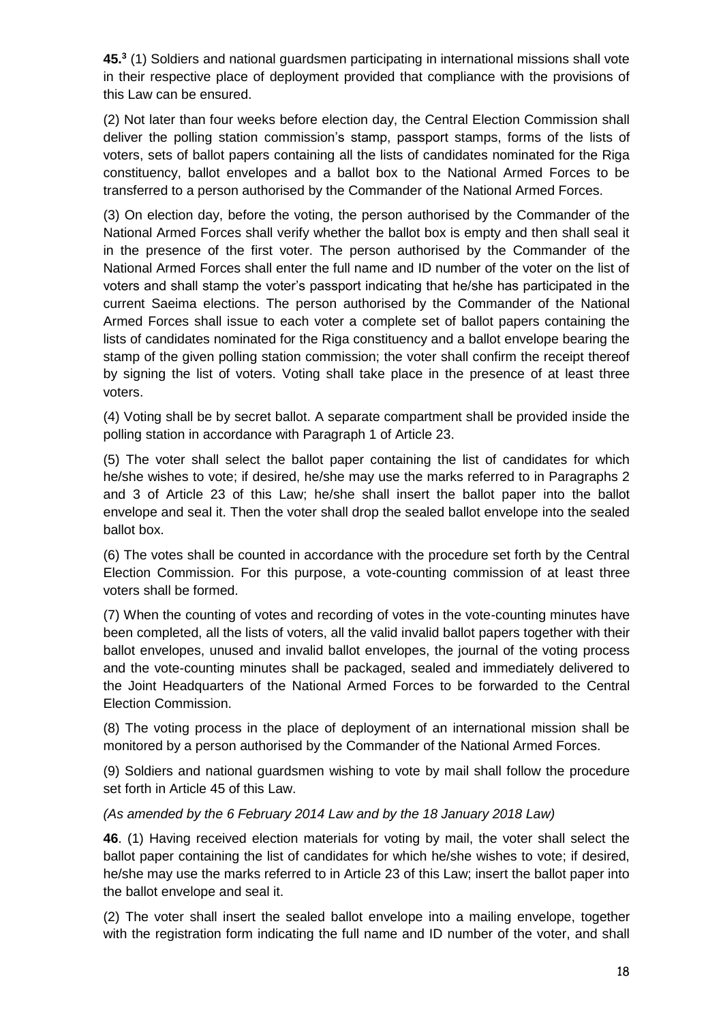**45.<sup>3</sup>** (1) Soldiers and national guardsmen participating in international missions shall vote in their respective place of deployment provided that compliance with the provisions of this Law can be ensured.

(2) Not later than four weeks before election day, the Central Election Commission shall deliver the polling station commission's stamp, passport stamps, forms of the lists of voters, sets of ballot papers containing all the lists of candidates nominated for the Riga constituency, ballot envelopes and a ballot box to the National Armed Forces to be transferred to a person authorised by the Commander of the National Armed Forces.

(3) On election day, before the voting, the person authorised by the Commander of the National Armed Forces shall verify whether the ballot box is empty and then shall seal it in the presence of the first voter. The person authorised by the Commander of the National Armed Forces shall enter the full name and ID number of the voter on the list of voters and shall stamp the voter's passport indicating that he/she has participated in the current Saeima elections. The person authorised by the Commander of the National Armed Forces shall issue to each voter a complete set of ballot papers containing the lists of candidates nominated for the Riga constituency and a ballot envelope bearing the stamp of the given polling station commission; the voter shall confirm the receipt thereof by signing the list of voters. Voting shall take place in the presence of at least three voters.

(4) Voting shall be by secret ballot. A separate compartment shall be provided inside the polling station in accordance with Paragraph 1 of Article 23.

(5) The voter shall select the ballot paper containing the list of candidates for which he/she wishes to vote; if desired, he/she may use the marks referred to in Paragraphs 2 and 3 of Article 23 of this Law; he/she shall insert the ballot paper into the ballot envelope and seal it. Then the voter shall drop the sealed ballot envelope into the sealed ballot box.

(6) The votes shall be counted in accordance with the procedure set forth by the Central Election Commission. For this purpose, a vote-counting commission of at least three voters shall be formed.

(7) When the counting of votes and recording of votes in the vote-counting minutes have been completed, all the lists of voters, all the valid invalid ballot papers together with their ballot envelopes, unused and invalid ballot envelopes, the journal of the voting process and the vote-counting minutes shall be packaged, sealed and immediately delivered to the Joint Headquarters of the National Armed Forces to be forwarded to the Central Election Commission.

(8) The voting process in the place of deployment of an international mission shall be monitored by a person authorised by the Commander of the National Armed Forces.

(9) Soldiers and national guardsmen wishing to vote by mail shall follow the procedure set forth in Article 45 of this Law.

#### *(As amended by the 6 February 2014 Law and by the 18 January 2018 Law)*

**46**. (1) Having received election materials for voting by mail, the voter shall select the ballot paper containing the list of candidates for which he/she wishes to vote; if desired, he/she may use the marks referred to in Article 23 of this Law; insert the ballot paper into the ballot envelope and seal it.

(2) The voter shall insert the sealed ballot envelope into a mailing envelope, together with the registration form indicating the full name and ID number of the voter, and shall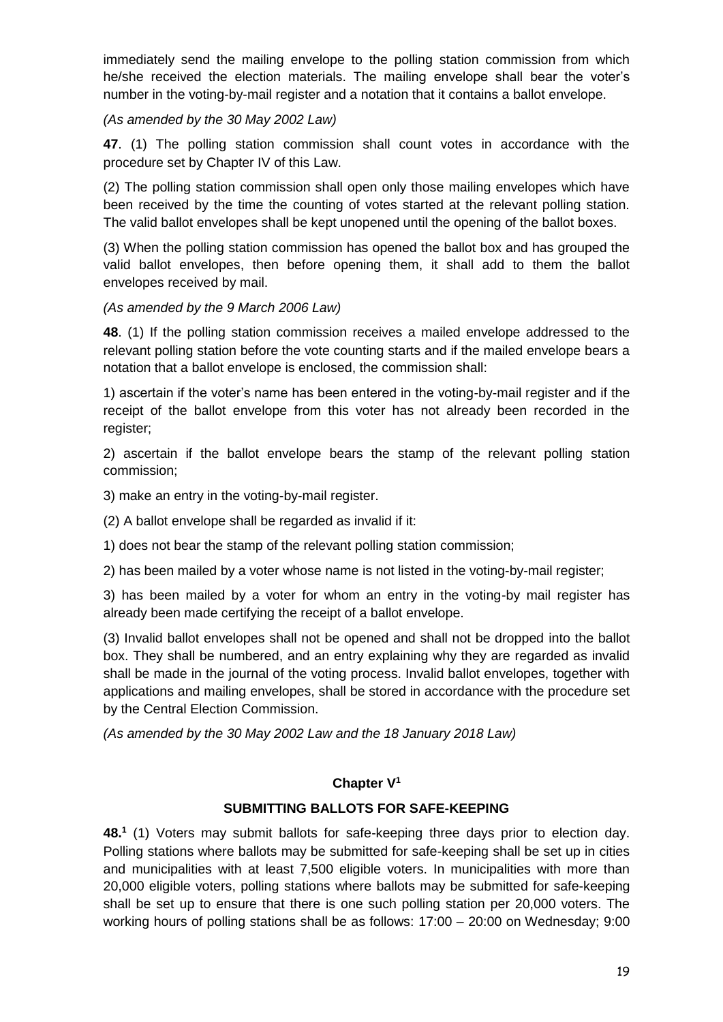immediately send the mailing envelope to the polling station commission from which he/she received the election materials. The mailing envelope shall bear the voter's number in the voting-by-mail register and a notation that it contains a ballot envelope.

*(As amended by the 30 May 2002 Law)*

**47**. (1) The polling station commission shall count votes in accordance with the procedure set by Chapter IV of this Law.

(2) The polling station commission shall open only those mailing envelopes which have been received by the time the counting of votes started at the relevant polling station. The valid ballot envelopes shall be kept unopened until the opening of the ballot boxes.

(3) When the polling station commission has opened the ballot box and has grouped the valid ballot envelopes, then before opening them, it shall add to them the ballot envelopes received by mail.

*(As amended by the 9 March 2006 Law)*

**48**. (1) If the polling station commission receives a mailed envelope addressed to the relevant polling station before the vote counting starts and if the mailed envelope bears a notation that a ballot envelope is enclosed, the commission shall:

1) ascertain if the voter's name has been entered in the voting-by-mail register and if the receipt of the ballot envelope from this voter has not already been recorded in the register;

2) ascertain if the ballot envelope bears the stamp of the relevant polling station commission;

3) make an entry in the voting-by-mail register.

(2) A ballot envelope shall be regarded as invalid if it:

1) does not bear the stamp of the relevant polling station commission;

2) has been mailed by a voter whose name is not listed in the voting-by-mail register;

3) has been mailed by a voter for whom an entry in the voting-by mail register has already been made certifying the receipt of a ballot envelope.

(3) Invalid ballot envelopes shall not be opened and shall not be dropped into the ballot box. They shall be numbered, and an entry explaining why they are regarded as invalid shall be made in the journal of the voting process. Invalid ballot envelopes, together with applications and mailing envelopes, shall be stored in accordance with the procedure set by the Central Election Commission.

*(As amended by the 30 May 2002 Law and the 18 January 2018 Law)*

## **Chapter V 1**

## **SUBMITTING BALLOTS FOR SAFE-KEEPING**

**48.<sup>1</sup>** (1) Voters may submit ballots for safe-keeping three days prior to election day. Polling stations where ballots may be submitted for safe-keeping shall be set up in cities and municipalities with at least 7,500 eligible voters. In municipalities with more than 20,000 eligible voters, polling stations where ballots may be submitted for safe-keeping shall be set up to ensure that there is one such polling station per 20,000 voters. The working hours of polling stations shall be as follows: 17:00 – 20:00 on Wednesday; 9:00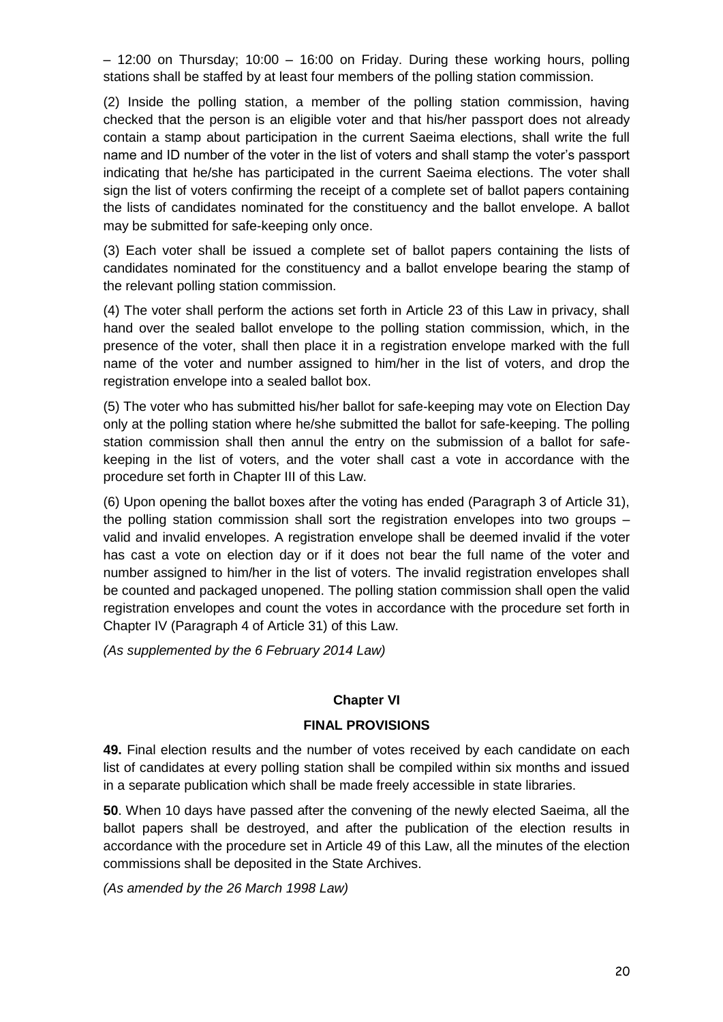– 12:00 on Thursday; 10:00 – 16:00 on Friday. During these working hours, polling stations shall be staffed by at least four members of the polling station commission.

(2) Inside the polling station, a member of the polling station commission, having checked that the person is an eligible voter and that his/her passport does not already contain a stamp about participation in the current Saeima elections, shall write the full name and ID number of the voter in the list of voters and shall stamp the voter's passport indicating that he/she has participated in the current Saeima elections. The voter shall sign the list of voters confirming the receipt of a complete set of ballot papers containing the lists of candidates nominated for the constituency and the ballot envelope. A ballot may be submitted for safe-keeping only once.

(3) Each voter shall be issued a complete set of ballot papers containing the lists of candidates nominated for the constituency and a ballot envelope bearing the stamp of the relevant polling station commission.

(4) The voter shall perform the actions set forth in Article 23 of this Law in privacy, shall hand over the sealed ballot envelope to the polling station commission, which, in the presence of the voter, shall then place it in a registration envelope marked with the full name of the voter and number assigned to him/her in the list of voters, and drop the registration envelope into a sealed ballot box.

(5) The voter who has submitted his/her ballot for safe-keeping may vote on Election Day only at the polling station where he/she submitted the ballot for safe-keeping. The polling station commission shall then annul the entry on the submission of a ballot for safekeeping in the list of voters, and the voter shall cast a vote in accordance with the procedure set forth in Chapter III of this Law.

(6) Upon opening the ballot boxes after the voting has ended (Paragraph 3 of Article 31), the polling station commission shall sort the registration envelopes into two groups – valid and invalid envelopes. A registration envelope shall be deemed invalid if the voter has cast a vote on election day or if it does not bear the full name of the voter and number assigned to him/her in the list of voters. The invalid registration envelopes shall be counted and packaged unopened. The polling station commission shall open the valid registration envelopes and count the votes in accordance with the procedure set forth in Chapter IV (Paragraph 4 of Article 31) of this Law.

*(As supplemented by the 6 February 2014 Law)*

## **Chapter VI**

## **FINAL PROVISIONS**

**49.** Final election results and the number of votes received by each candidate on each list of candidates at every polling station shall be compiled within six months and issued in a separate publication which shall be made freely accessible in state libraries.

**50**. When 10 days have passed after the convening of the newly elected Saeima, all the ballot papers shall be destroyed, and after the publication of the election results in accordance with the procedure set in Article 49 of this Law, all the minutes of the election commissions shall be deposited in the State Archives.

*(As amended by the 26 March 1998 Law)*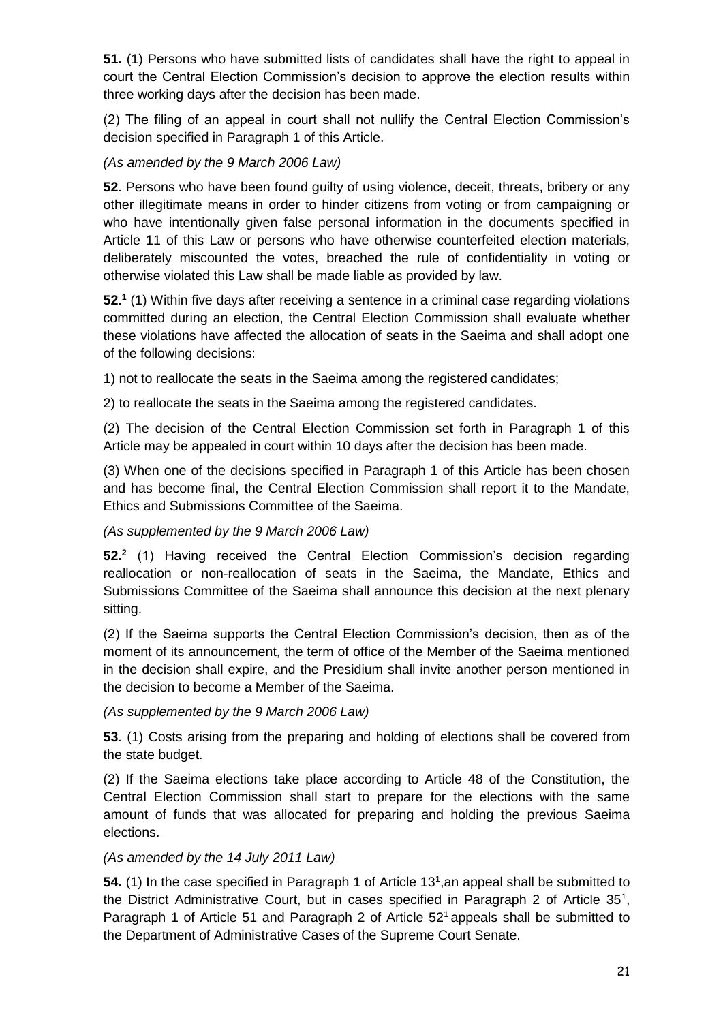**51.** (1) Persons who have submitted lists of candidates shall have the right to appeal in court the Central Election Commission's decision to approve the election results within three working days after the decision has been made.

(2) The filing of an appeal in court shall not nullify the Central Election Commission's decision specified in Paragraph 1 of this Article.

## *(As amended by the 9 March 2006 Law)*

**52**. Persons who have been found guilty of using violence, deceit, threats, bribery or any other illegitimate means in order to hinder citizens from voting or from campaigning or who have intentionally given false personal information in the documents specified in Article 11 of this Law or persons who have otherwise counterfeited election materials, deliberately miscounted the votes, breached the rule of confidentiality in voting or otherwise violated this Law shall be made liable as provided by law.

**52.<sup>1</sup>** (1) Within five days after receiving a sentence in a criminal case regarding violations committed during an election, the Central Election Commission shall evaluate whether these violations have affected the allocation of seats in the Saeima and shall adopt one of the following decisions:

1) not to reallocate the seats in the Saeima among the registered candidates;

2) to reallocate the seats in the Saeima among the registered candidates.

(2) The decision of the Central Election Commission set forth in Paragraph 1 of this Article may be appealed in court within 10 days after the decision has been made.

(3) When one of the decisions specified in Paragraph 1 of this Article has been chosen and has become final, the Central Election Commission shall report it to the Mandate, Ethics and Submissions Committee of the Saeima.

#### *(As supplemented by the 9 March 2006 Law)*

**52.<sup>2</sup>** (1) Having received the Central Election Commission's decision regarding reallocation or non-reallocation of seats in the Saeima, the Mandate, Ethics and Submissions Committee of the Saeima shall announce this decision at the next plenary sitting.

(2) If the Saeima supports the Central Election Commission's decision, then as of the moment of its announcement, the term of office of the Member of the Saeima mentioned in the decision shall expire, and the Presidium shall invite another person mentioned in the decision to become a Member of the Saeima.

#### *(As supplemented by the 9 March 2006 Law)*

**53**. (1) Costs arising from the preparing and holding of elections shall be covered from the state budget.

(2) If the Saeima elections take place according to Article 48 of the Constitution, the Central Election Commission shall start to prepare for the elections with the same amount of funds that was allocated for preparing and holding the previous Saeima elections.

#### *(As amended by the 14 July 2011 Law)*

54. (1) In the case specified in Paragraph 1 of Article 13<sup>1</sup>, an appeal shall be submitted to the District Administrative Court, but in cases specified in Paragraph 2 of Article 35<sup>1</sup>, Paragraph 1 of Article 51 and Paragraph 2 of Article  $52<sup>1</sup>$  appeals shall be submitted to the Department of Administrative Cases of the Supreme Court Senate.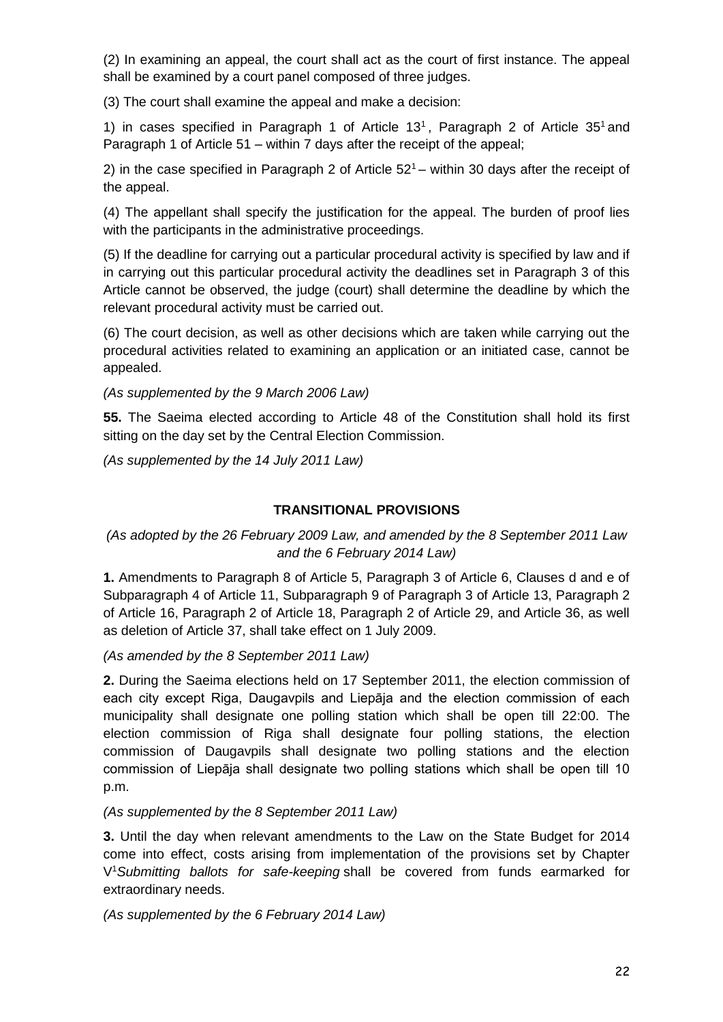(2) In examining an appeal, the court shall act as the court of first instance. The appeal shall be examined by a court panel composed of three judges.

(3) The court shall examine the appeal and make a decision:

1) in cases specified in Paragraph 1 of Article  $13<sup>1</sup>$ , Paragraph 2 of Article  $35<sup>1</sup>$  and Paragraph 1 of Article 51 – within 7 days after the receipt of the appeal;

2) in the case specified in Paragraph 2 of Article  $52^1$  – within 30 days after the receipt of the appeal.

(4) The appellant shall specify the justification for the appeal. The burden of proof lies with the participants in the administrative proceedings.

(5) If the deadline for carrying out a particular procedural activity is specified by law and if in carrying out this particular procedural activity the deadlines set in Paragraph 3 of this Article cannot be observed, the judge (court) shall determine the deadline by which the relevant procedural activity must be carried out.

(6) The court decision, as well as other decisions which are taken while carrying out the procedural activities related to examining an application or an initiated case, cannot be appealed.

*(As supplemented by the 9 March 2006 Law)*

**55.** The Saeima elected according to Article 48 of the Constitution shall hold its first sitting on the day set by the Central Election Commission.

*(As supplemented by the 14 July 2011 Law)*

#### **TRANSITIONAL PROVISIONS**

# *(As adopted by the 26 February 2009 Law, and amended by the 8 September 2011 Law and the 6 February 2014 Law)*

**1.** Amendments to Paragraph 8 of Article 5, Paragraph 3 of Article 6, Clauses d and e of Subparagraph 4 of Article 11, Subparagraph 9 of Paragraph 3 of Article 13, Paragraph 2 of Article 16, Paragraph 2 of Article 18, Paragraph 2 of Article 29, and Article 36, as well as deletion of Article 37, shall take effect on 1 July 2009.

*(As amended by the 8 September 2011 Law)*

**2.** During the Saeima elections held on 17 September 2011, the election commission of each city except Riga, Daugavpils and Liepāja and the election commission of each municipality shall designate one polling station which shall be open till 22:00. The election commission of Riga shall designate four polling stations, the election commission of Daugavpils shall designate two polling stations and the election commission of Liepāja shall designate two polling stations which shall be open till 10 p.m.

#### *(As supplemented by the 8 September 2011 Law)*

**3.** Until the day when relevant amendments to the Law on the State Budget for 2014 come into effect, costs arising from implementation of the provisions set by Chapter V <sup>1</sup>*Submitting ballots for safe-keeping* shall be covered from funds earmarked for extraordinary needs.

*(As supplemented by the 6 February 2014 Law)*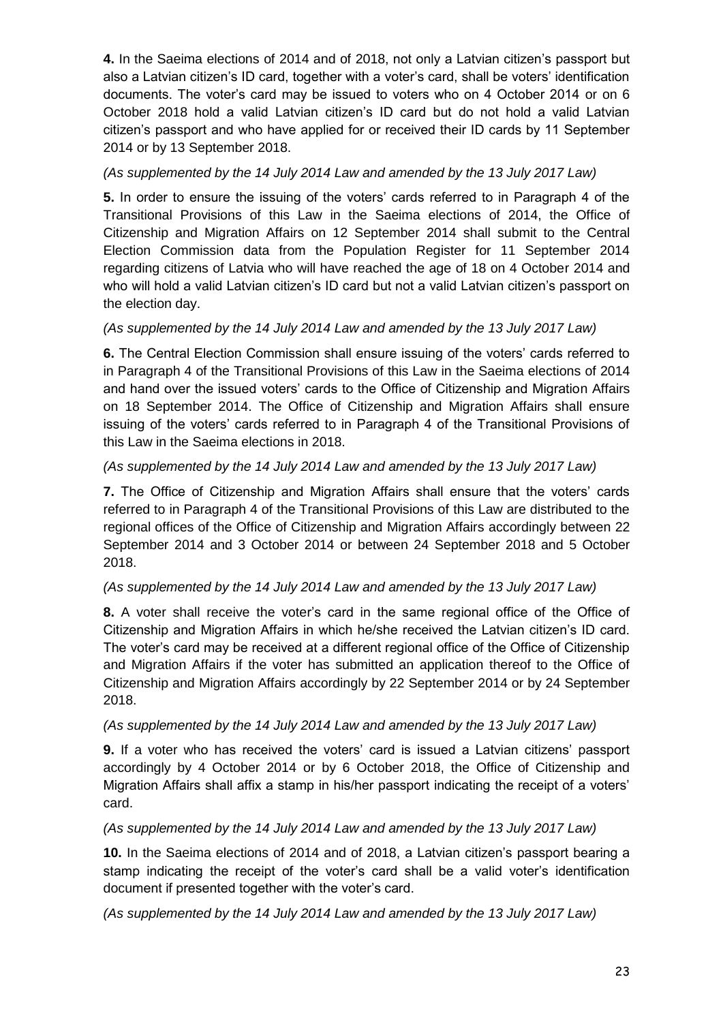**4.** In the Saeima elections of 2014 and of 2018, not only a Latvian citizen's passport but also a Latvian citizen's ID card, together with a voter's card, shall be voters' identification documents. The voter's card may be issued to voters who on 4 October 2014 or on 6 October 2018 hold a valid Latvian citizen's ID card but do not hold a valid Latvian citizen's passport and who have applied for or received their ID cards by 11 September 2014 or by 13 September 2018.

## *(As supplemented by the 14 July 2014 Law and amended by the 13 July 2017 Law)*

**5.** In order to ensure the issuing of the voters' cards referred to in Paragraph 4 of the Transitional Provisions of this Law in the Saeima elections of 2014, the Office of Citizenship and Migration Affairs on 12 September 2014 shall submit to the Central Election Commission data from the Population Register for 11 September 2014 regarding citizens of Latvia who will have reached the age of 18 on 4 October 2014 and who will hold a valid Latvian citizen's ID card but not a valid Latvian citizen's passport on the election day.

# *(As supplemented by the 14 July 2014 Law and amended by the 13 July 2017 Law)*

**6.** The Central Election Commission shall ensure issuing of the voters' cards referred to in Paragraph 4 of the Transitional Provisions of this Law in the Saeima elections of 2014 and hand over the issued voters' cards to the Office of Citizenship and Migration Affairs on 18 September 2014. The Office of Citizenship and Migration Affairs shall ensure issuing of the voters' cards referred to in Paragraph 4 of the Transitional Provisions of this Law in the Saeima elections in 2018.

## *(As supplemented by the 14 July 2014 Law and amended by the 13 July 2017 Law)*

**7.** The Office of Citizenship and Migration Affairs shall ensure that the voters' cards referred to in Paragraph 4 of the Transitional Provisions of this Law are distributed to the regional offices of the Office of Citizenship and Migration Affairs accordingly between 22 September 2014 and 3 October 2014 or between 24 September 2018 and 5 October 2018.

## *(As supplemented by the 14 July 2014 Law and amended by the 13 July 2017 Law)*

**8.** A voter shall receive the voter's card in the same regional office of the Office of Citizenship and Migration Affairs in which he/she received the Latvian citizen's ID card. The voter's card may be received at a different regional office of the Office of Citizenship and Migration Affairs if the voter has submitted an application thereof to the Office of Citizenship and Migration Affairs accordingly by 22 September 2014 or by 24 September 2018.

## *(As supplemented by the 14 July 2014 Law and amended by the 13 July 2017 Law)*

**9.** If a voter who has received the voters' card is issued a Latvian citizens' passport accordingly by 4 October 2014 or by 6 October 2018, the Office of Citizenship and Migration Affairs shall affix a stamp in his/her passport indicating the receipt of a voters' card.

#### *(As supplemented by the 14 July 2014 Law and amended by the 13 July 2017 Law)*

**10.** In the Saeima elections of 2014 and of 2018, a Latvian citizen's passport bearing a stamp indicating the receipt of the voter's card shall be a valid voter's identification document if presented together with the voter's card.

*(As supplemented by the 14 July 2014 Law and amended by the 13 July 2017 Law)*